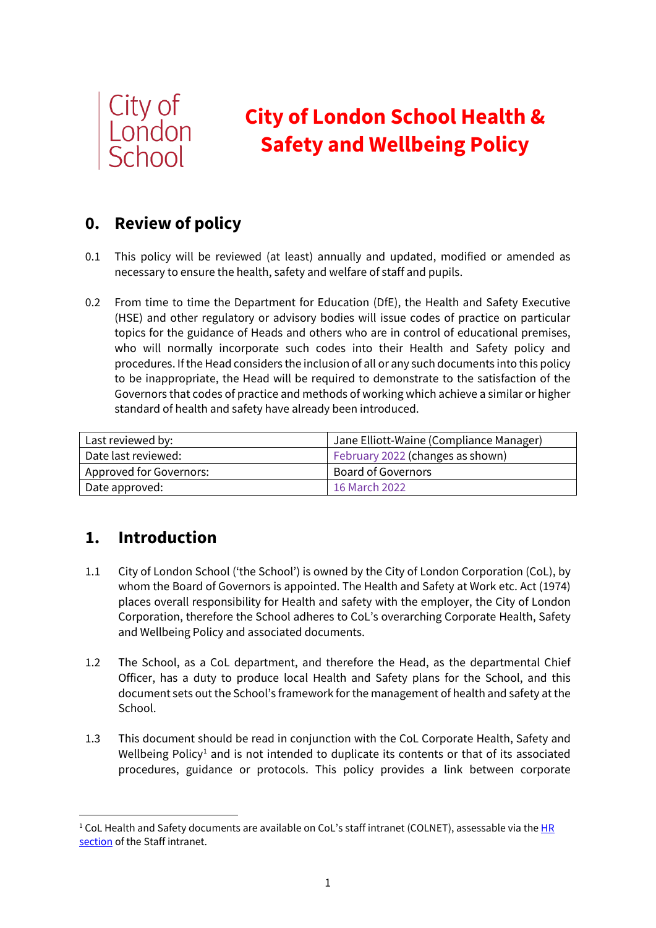

# **City of London School Health & Safety and Wellbeing Policy**

# **0. Review of policy**

- 0.1 This policy will be reviewed (at least) annually and updated, modified or amended as necessary to ensure the health, safety and welfare of staff and pupils.
- 0.2 From time to time the Department for Education (DfE), the Health and Safety Executive (HSE) and other regulatory or advisory bodies will issue codes of practice on particular topics for the guidance of Heads and others who are in control of educational premises, who will normally incorporate such codes into their Health and Safety policy and procedures. If the Head considers the inclusion of all or any such documents into this policy to be inappropriate, the Head will be required to demonstrate to the satisfaction of the Governors that codes of practice and methods of working which achieve a similar or higher standard of health and safety have already been introduced.

| Last reviewed by:       | Jane Elliott-Waine (Compliance Manager) |
|-------------------------|-----------------------------------------|
| Date last reviewed:     | February 2022 (changes as shown)        |
| Approved for Governors: | <b>Board of Governors</b>               |
| Date approved:          | 16 March 2022                           |

# **1. Introduction**

- 1.1 City of London School ('the School') is owned by the City of London Corporation (CoL), by whom the Board of Governors is appointed. The Health and Safety at Work etc. Act (1974) places overall responsibility for Health and safety with the employer, the City of London Corporation, therefore the School adheres to CoL's overarching Corporate Health, Safety and Wellbeing Policy and associated documents.
- 1.2 The School, as a CoL department, and therefore the Head, as the departmental Chief Officer, has a duty to produce local Health and Safety plans for the School, and this document sets out the School's framework for the management of health and safety at the School.
- 1.3 This document should be read in conjunction with the CoL Corporate Health, Safety and Wellbeing Policy<sup>[1](#page-0-0)</sup> and is not intended to duplicate its contents or that of its associated procedures, guidance or protocols. This policy provides a link between corporate

<span id="page-0-0"></span><sup>&</sup>lt;sup>1</sup> CoL Health and Safety documents are available on CoL's staff intranet (COLNET), assessable via the HR [section](https://cityoflondonschool.sharepoint.com/sites/Intranet/SitePages/SupportServices_HR.aspx) of the Staff intranet.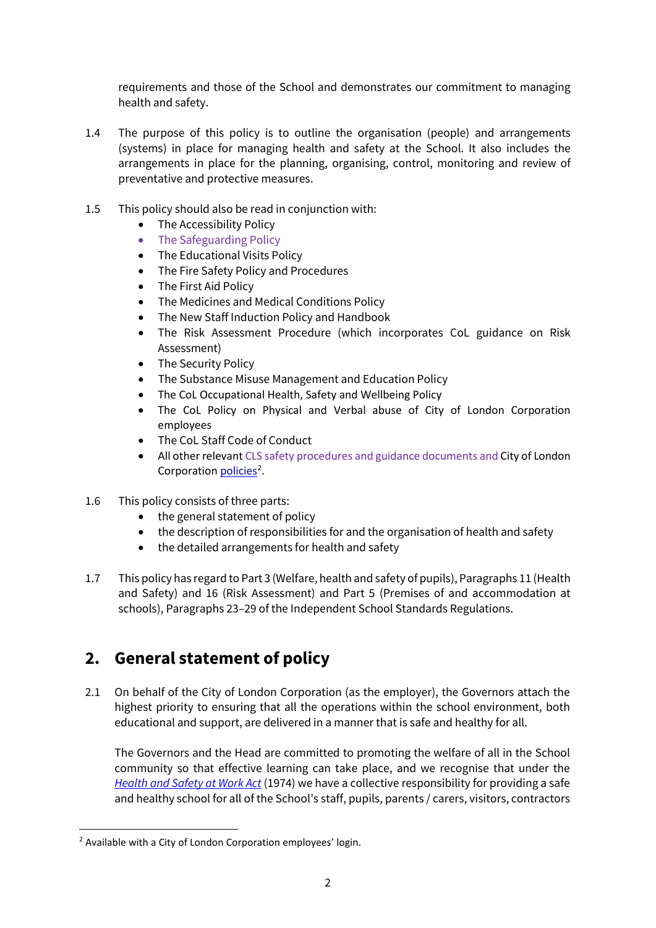requirements and those of the School and demonstrates our commitment to managing health and safety.

- 1.4 The purpose of this policy is to outline the organisation (people) and arrangements (systems) in place for managing health and safety at the School. It also includes the arrangements in place for the planning, organising, control, monitoring and review of preventative and protective measures.
- 1.5 This policy should also be read in conjunction with:
	- The Accessibility Policy
	- The Safeguarding Policy
	- The Educational Visits Policy
	- The Fire Safety Policy and Procedures
	- The First Aid Policy
	- The Medicines and Medical Conditions Policy
	- The New Staff Induction Policy and Handbook
	- The Risk Assessment Procedure (which incorporates CoL guidance on Risk Assessment)
	- The Security Policy
	- The Substance Misuse Management and Education Policy
	- The CoL Occupational Health, Safety and Wellbeing Policy
	- The CoL Policy on Physical and Verbal abuse of City of London Corporation employees
	- The CoL Staff Code of Conduct
	- All other relevant CLS safety procedures and guidance documents and City of London Corporation *policies*<sup>[2](#page-1-0)</sup>.
- 1.6 This policy consists of three parts:
	- the general statement of policy
	- the description of responsibilities for and the organisation of health and safety
	- the detailed arrangements for health and safety
- 1.7 This policy has regard to Part 3 (Welfare, health and safety of pupils), Paragraphs 11 (Health and Safety) and 16 (Risk Assessment) and Part 5 (Premises of and accommodation at schools), Paragraphs 23–29 of the Independent School Standards Regulations.

### **2. General statement of policy**

2.1 On behalf of the City of London Corporation (as the employer), the Governors attach the highest priority to ensuring that all the operations within the school environment, both educational and support, are delivered in a manner that is safe and healthy for all.

The Governors and the Head are committed to promoting the welfare of all in the School community so that effective learning can take place, and we recognise that under the *[Health and Safety at Work Act](http://www.legislation.gov.uk/ukpga/1974/37/contents)* (1974) we have a collective responsibility for providing a safe and healthy school for all of the School's staff, pupils, parents / carers, visitors, contractors

<span id="page-1-0"></span><sup>2</sup> Available with a City of London Corporation employees' login.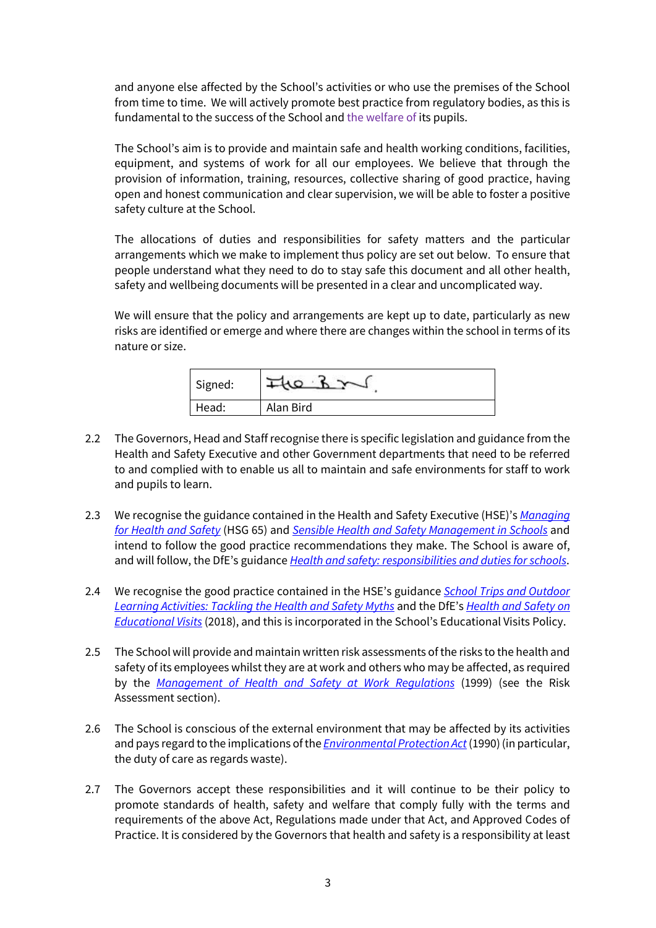and anyone else affected by the School's activities or who use the premises of the School from time to time. We will actively promote best practice from regulatory bodies, as this is fundamental to the success of the School and the welfare of its pupils.

The School's aim is to provide and maintain safe and health working conditions, facilities, equipment, and systems of work for all our employees. We believe that through the provision of information, training, resources, collective sharing of good practice, having open and honest communication and clear supervision, we will be able to foster a positive safety culture at the School.

The allocations of duties and responsibilities for safety matters and the particular arrangements which we make to implement thus policy are set out below. To ensure that people understand what they need to do to stay safe this document and all other health, safety and wellbeing documents will be presented in a clear and uncomplicated way.

We will ensure that the policy and arrangements are kept up to date, particularly as new risks are identified or emerge and where there are changes within the school in terms of its nature or size.

| Signed: |           |
|---------|-----------|
| Head:   | Alan Bird |

- 2.2 The Governors, Head and Staff recognise there is specific legislation and guidance from the Health and Safety Executive and other Government departments that need to be referred to and complied with to enable us all to maintain and safe environments for staff to work and pupils to learn.
- 2.3 We recognise the guidance contained in the Health and Safety Executive (HSE)'s *[Managing](http://www.hse.gov.uk/pubns/books/hsg65.htm)  [for Health and Safety](http://www.hse.gov.uk/pubns/books/hsg65.htm)* (HSG 65) and *[Sensible Health and Safety Management in Schools](http://www.hse.gov.uk/services/education/sensible-leadership/index.htm)* and intend to follow the good practice recommendations they make. The School is aware of, and will follow, the DfE's guidance *[Health and safety: responsibilities and duties for schools](https://www.gov.uk/government/publications/health-and-safety-advice-for-schools/responsibilities-and-duties-for-schools)*.
- 2.4 We recognise the good practice contained in the HSE's guidance *[School Trips and Outdoor](http://www.hse.gov.uk/services/education/school-trips.pdf)  [Learning Activities: Tackling the Health and Safety Myths](http://www.hse.gov.uk/services/education/school-trips.pdf)* and the DfE's *[Health and Safety on](https://www.gov.uk/government/publications/health-and-safety-on-educational-visits/health-and-safety-on-educational-visits)  [Educational Visits](https://www.gov.uk/government/publications/health-and-safety-on-educational-visits/health-and-safety-on-educational-visits)* (2018), and this is incorporated in the School's Educational Visits Policy.
- 2.5 The School will provide and maintain written risk assessments of the risks to the health and safety of its employees whilst they are at work and others who may be affected, as required by the *[Management of Health and Safety at Work Regulations](http://www.legislation.gov.uk/uksi/1999/3242/regulation/3/made)* (1999) (see the Risk Assessment section).
- 2.6 The School is conscious of the external environment that may be affected by its activities and pays regard to the implications of the *[Environmental Protection Act](http://www.legislation.gov.uk/ukpga/1990/43/contents)*(1990) (in particular, the duty of care as regards waste).
- 2.7 The Governors accept these responsibilities and it will continue to be their policy to promote standards of health, safety and welfare that comply fully with the terms and requirements of the above Act, Regulations made under that Act, and Approved Codes of Practice. It is considered by the Governors that health and safety is a responsibility at least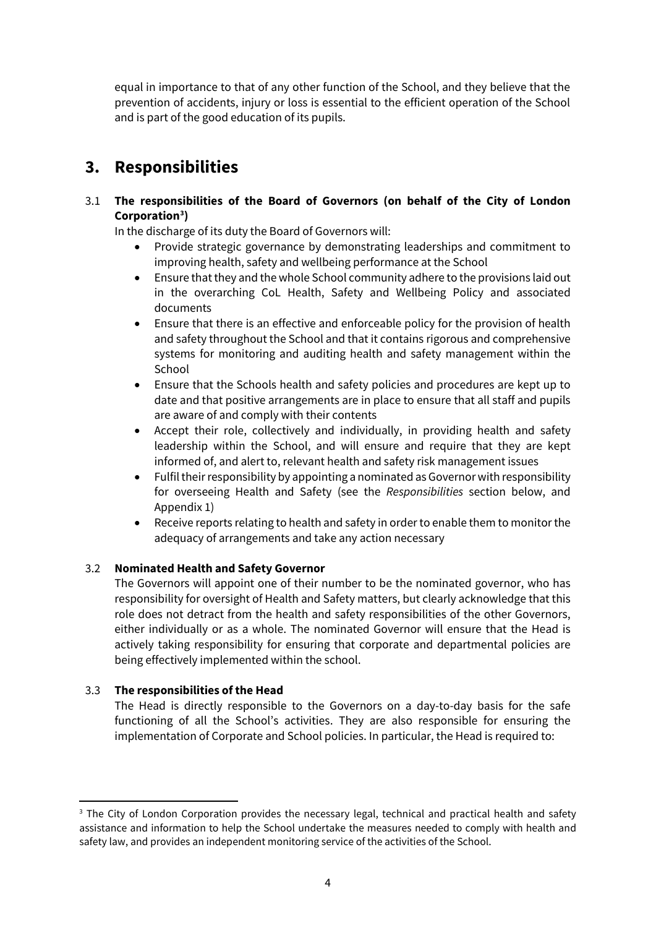equal in importance to that of any other function of the School, and they believe that the prevention of accidents, injury or loss is essential to the efficient operation of the School and is part of the good education of its pupils.

### **3. Responsibilities**

#### 3.1 **The responsibilities of the Board of Governors (on behalf of the City of London Corporation[3](#page-3-0) )**

In the discharge of its duty the Board of Governors will:

- Provide strategic governance by demonstrating leaderships and commitment to improving health, safety and wellbeing performance at the School
- Ensure that they and the whole School community adhere to the provisions laid out in the overarching CoL Health, Safety and Wellbeing Policy and associated documents
- Ensure that there is an effective and enforceable policy for the provision of health and safety throughout the School and that it contains rigorous and comprehensive systems for monitoring and auditing health and safety management within the **School**
- Ensure that the Schools health and safety policies and procedures are kept up to date and that positive arrangements are in place to ensure that all staff and pupils are aware of and comply with their contents
- Accept their role, collectively and individually, in providing health and safety leadership within the School, and will ensure and require that they are kept informed of, and alert to, relevant health and safety risk management issues
- Fulfil their responsibility by appointing a nominated as Governor with responsibility for overseeing Health and Safety (see the *Responsibilities* section below, and Appendix 1)
- Receive reports relating to health and safety in order to enable them to monitor the adequacy of arrangements and take any action necessary

#### 3.2 **Nominated Health and Safety Governor**

The Governors will appoint one of their number to be the nominated governor, who has responsibility for oversight of Health and Safety matters, but clearly acknowledge that this role does not detract from the health and safety responsibilities of the other Governors, either individually or as a whole. The nominated Governor will ensure that the Head is actively taking responsibility for ensuring that corporate and departmental policies are being effectively implemented within the school.

#### 3.3 **The responsibilities of the Head**

The Head is directly responsible to the Governors on a day-to-day basis for the safe functioning of all the School's activities. They are also responsible for ensuring the implementation of Corporate and School policies. In particular, the Head is required to:

<span id="page-3-0"></span><sup>&</sup>lt;sup>3</sup> The City of London Corporation provides the necessary legal, technical and practical health and safety assistance and information to help the School undertake the measures needed to comply with health and safety law, and provides an independent monitoring service of the activities of the School.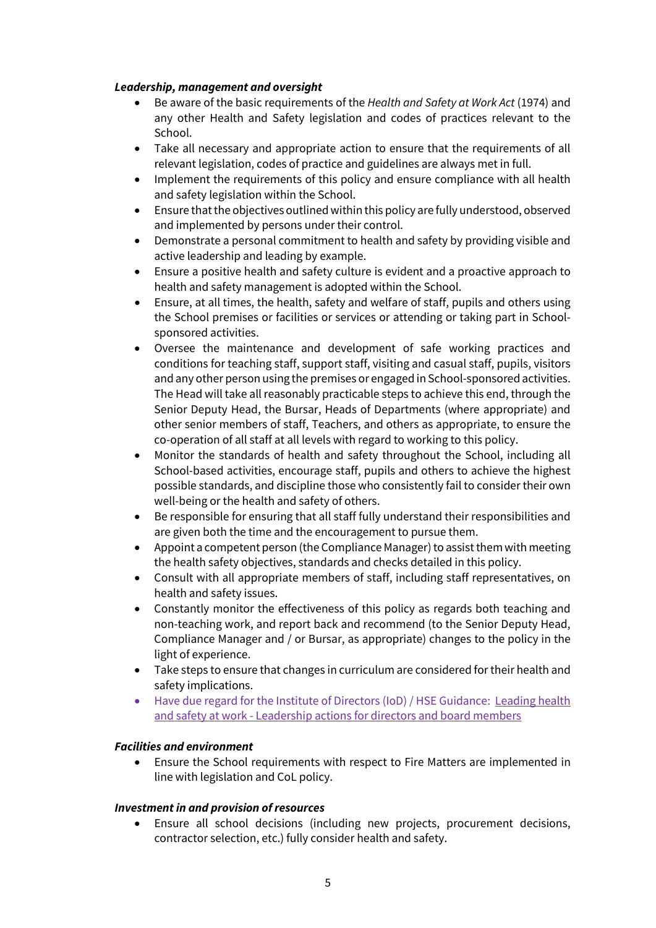#### *Leadership, management and oversight*

- Be aware of the basic requirements of the *Health and Safety at Work Act* (1974) and any other Health and Safety legislation and codes of practices relevant to the School.
- Take all necessary and appropriate action to ensure that the requirements of all relevant legislation, codes of practice and guidelines are always met in full.
- Implement the requirements of this policy and ensure compliance with all health and safety legislation within the School.
- Ensure that the objectives outlined within this policy are fully understood, observed and implemented by persons under their control.
- Demonstrate a personal commitment to health and safety by providing visible and active leadership and leading by example.
- Ensure a positive health and safety culture is evident and a proactive approach to health and safety management is adopted within the School.
- Ensure, at all times, the health, safety and welfare of staff, pupils and others using the School premises or facilities or services or attending or taking part in Schoolsponsored activities.
- Oversee the maintenance and development of safe working practices and conditions for teaching staff, support staff, visiting and casual staff, pupils, visitors and any other person using the premises or engaged in School-sponsored activities. The Head will take all reasonably practicable steps to achieve this end, through the Senior Deputy Head, the Bursar, Heads of Departments (where appropriate) and other senior members of staff, Teachers, and others as appropriate, to ensure the co-operation of all staff at all levels with regard to working to this policy.
- Monitor the standards of health and safety throughout the School, including all School-based activities, encourage staff, pupils and others to achieve the highest possible standards, and discipline those who consistently fail to consider their own well-being or the health and safety of others.
- Be responsible for ensuring that all staff fully understand their responsibilities and are given both the time and the encouragement to pursue them.
- Appoint a competent person (the Compliance Manager) to assist them with meeting the health safety objectives, standards and checks detailed in this policy.
- Consult with all appropriate members of staff, including staff representatives, on health and safety issues.
- Constantly monitor the effectiveness of this policy as regards both teaching and non-teaching work, and report back and recommend (to the Senior Deputy Head, Compliance Manager and / or Bursar, as appropriate) changes to the policy in the light of experience.
- Take steps to ensure that changes in curriculum are considered for their health and safety implications.
- Have due regard for the Institute of Directors (IoD) / HSE Guidance: Leading health [and safety at work - Leadership actions for directors and board members](https://www.hse.gov.uk/pubns/indg417.pdf)

#### *Facilities and environment*

• Ensure the School requirements with respect to Fire Matters are implemented in line with legislation and CoL policy.

#### *Investment in and provision of resources*

• Ensure all school decisions (including new projects, procurement decisions, contractor selection, etc.) fully consider health and safety.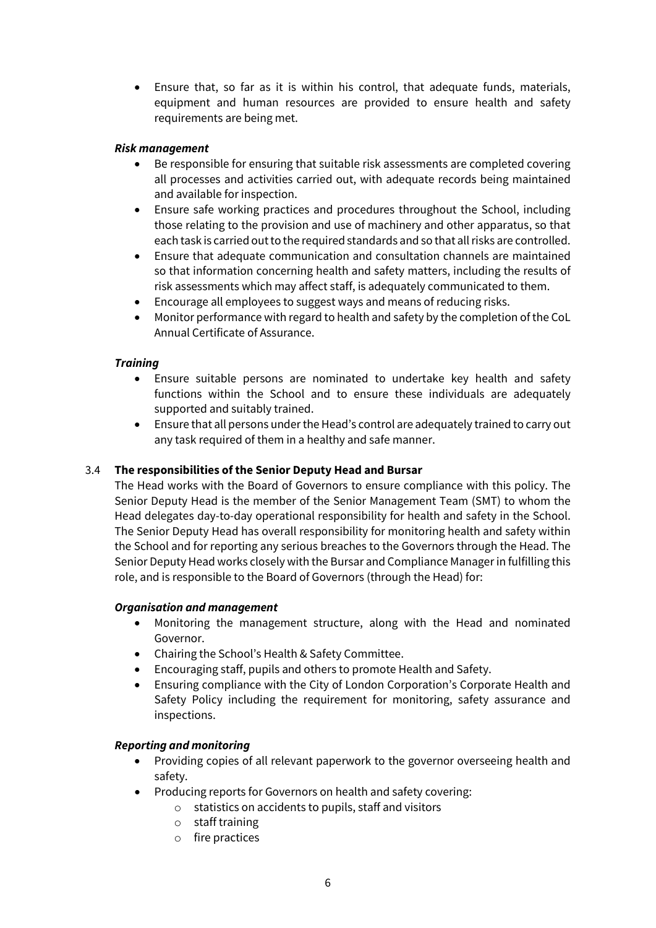• Ensure that, so far as it is within his control, that adequate funds, materials, equipment and human resources are provided to ensure health and safety requirements are being met.

#### *Risk management*

- Be responsible for ensuring that suitable risk assessments are completed covering all processes and activities carried out, with adequate records being maintained and available for inspection.
- Ensure safe working practices and procedures throughout the School, including those relating to the provision and use of machinery and other apparatus, so that each task is carried out to the required standards and so that all risks are controlled.
- Ensure that adequate communication and consultation channels are maintained so that information concerning health and safety matters, including the results of risk assessments which may affect staff, is adequately communicated to them.
- Encourage all employees to suggest ways and means of reducing risks.
- Monitor performance with regard to health and safety by the completion of the CoL Annual Certificate of Assurance.

#### *Training*

- Ensure suitable persons are nominated to undertake key health and safety functions within the School and to ensure these individuals are adequately supported and suitably trained.
- Ensure that all persons under the Head's control are adequately trained to carry out any task required of them in a healthy and safe manner.

#### 3.4 **The responsibilities of the Senior Deputy Head and Bursar**

The Head works with the Board of Governors to ensure compliance with this policy. The Senior Deputy Head is the member of the Senior Management Team (SMT) to whom the Head delegates day-to-day operational responsibility for health and safety in the School. The Senior Deputy Head has overall responsibility for monitoring health and safety within the School and for reporting any serious breaches to the Governors through the Head. The Senior Deputy Head works closely with the Bursar and Compliance Manager in fulfilling this role, and is responsible to the Board of Governors (through the Head) for:

#### *Organisation and management*

- Monitoring the management structure, along with the Head and nominated Governor.
- Chairing the School's Health & Safety Committee.
- Encouraging staff, pupils and others to promote Health and Safety.
- Ensuring compliance with the City of London Corporation's Corporate Health and Safety Policy including the requirement for monitoring, safety assurance and inspections.

#### *Reporting and monitoring*

- Providing copies of all relevant paperwork to the governor overseeing health and safety.
- Producing reports for Governors on health and safety covering:
	- o statistics on accidents to pupils, staff and visitors
		- o staff training
		- o fire practices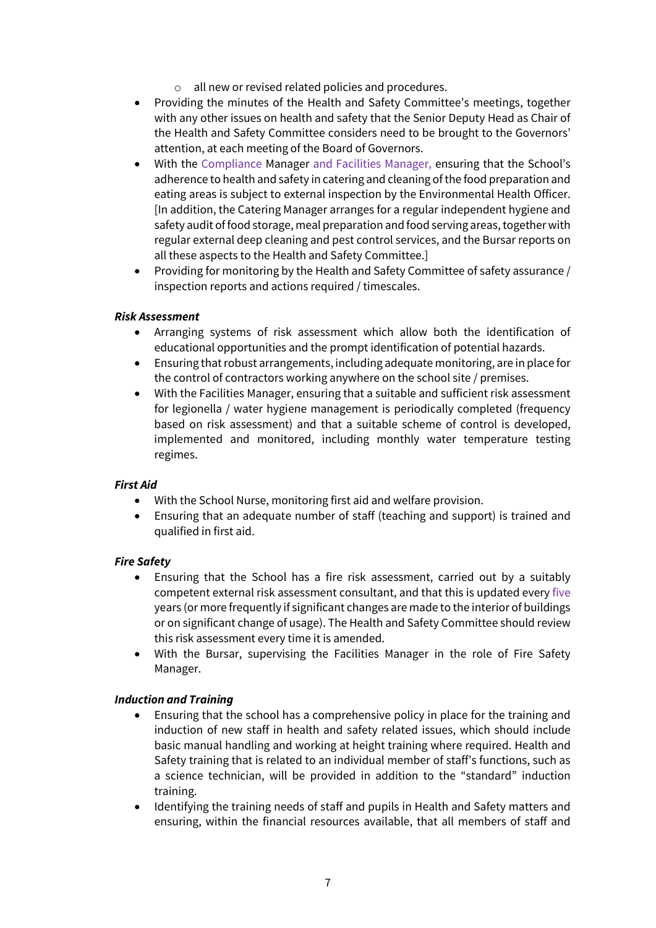- o all new or revised related policies and procedures.
- Providing the minutes of the Health and Safety Committee's meetings, together with any other issues on health and safety that the Senior Deputy Head as Chair of the Health and Safety Committee considers need to be brought to the Governors' attention, at each meeting of the Board of Governors.
- With the Compliance Manager and Facilities Manager, ensuring that the School's adherence to health and safety in catering and cleaning of the food preparation and eating areas is subject to external inspection by the Environmental Health Officer. [In addition, the Catering Manager arranges for a regular independent hygiene and safety audit of food storage, meal preparation and food serving areas, together with regular external deep cleaning and pest control services, and the Bursar reports on all these aspects to the Health and Safety Committee.]
- Providing for monitoring by the Health and Safety Committee of safety assurance / inspection reports and actions required / timescales.

#### *Risk Assessment*

- Arranging systems of risk assessment which allow both the identification of educational opportunities and the prompt identification of potential hazards.
- Ensuring that robust arrangements, including adequate monitoring, are in place for the control of contractors working anywhere on the school site / premises.
- With the Facilities Manager, ensuring that a suitable and sufficient risk assessment for legionella / water hygiene management is periodically completed (frequency based on risk assessment) and that a suitable scheme of control is developed, implemented and monitored, including monthly water temperature testing regimes.

#### *First Aid*

- With the School Nurse, monitoring first aid and welfare provision.
- Ensuring that an adequate number of staff (teaching and support) is trained and qualified in first aid.

#### *Fire Safety*

- Ensuring that the School has a fire risk assessment, carried out by a suitably competent external risk assessment consultant, and that this is updated every five years (or more frequently if significant changes are made to the interior of buildings or on significant change of usage). The Health and Safety Committee should review this risk assessment every time it is amended.
- With the Bursar, supervising the Facilities Manager in the role of Fire Safety Manager.

#### *Induction and Training*

- Ensuring that the school has a comprehensive policy in place for the training and induction of new staff in health and safety related issues, which should include basic manual handling and working at height training where required. Health and Safety training that is related to an individual member of staff's functions, such as a science technician, will be provided in addition to the "standard" induction training.
- Identifying the training needs of staff and pupils in Health and Safety matters and ensuring, within the financial resources available, that all members of staff and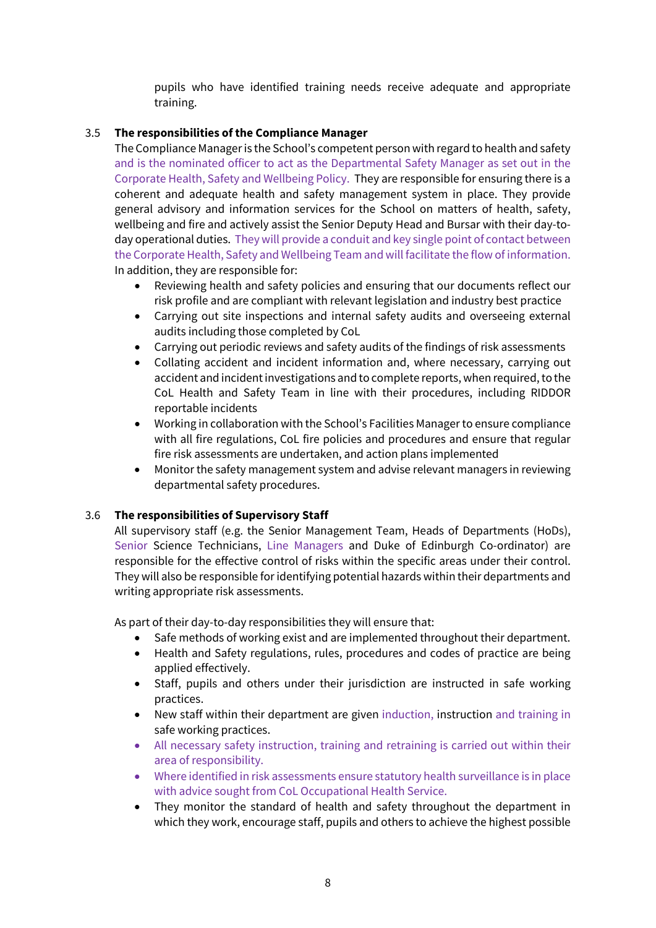pupils who have identified training needs receive adequate and appropriate training.

#### 3.5 **The responsibilities of the Compliance Manager**

The Compliance Manager is the School's competent person with regard to health and safety and is the nominated officer to act as the Departmental Safety Manager as set out in the Corporate Health, Safety and Wellbeing Policy. They are responsible for ensuring there is a coherent and adequate health and safety management system in place. They provide general advisory and information services for the School on matters of health, safety, wellbeing and fire and actively assist the Senior Deputy Head and Bursar with their day-today operational duties. They will provide a conduit and key single point of contact between the Corporate Health, Safety and Wellbeing Team and will facilitate the flow of information. In addition, they are responsible for:

- Reviewing health and safety policies and ensuring that our documents reflect our risk profile and are compliant with relevant legislation and industry best practice
- Carrying out site inspections and internal safety audits and overseeing external audits including those completed by CoL
- Carrying out periodic reviews and safety audits of the findings of risk assessments
- Collating accident and incident information and, where necessary, carrying out accident and incident investigations and to complete reports, when required, to the CoL Health and Safety Team in line with their procedures, including RIDDOR reportable incidents
- Working in collaboration with the School's Facilities Manager to ensure compliance with all fire regulations, CoL fire policies and procedures and ensure that regular fire risk assessments are undertaken, and action plans implemented
- Monitor the safety management system and advise relevant managers in reviewing departmental safety procedures.

#### 3.6 **The responsibilities of Supervisory Staff**

All supervisory staff (e.g. the Senior Management Team, Heads of Departments (HoDs), Senior Science Technicians, Line Managers and Duke of Edinburgh Co-ordinator) are responsible for the effective control of risks within the specific areas under their control. They will also be responsible for identifying potential hazards within their departments and writing appropriate risk assessments.

As part of their day-to-day responsibilities they will ensure that:

- Safe methods of working exist and are implemented throughout their department.
- Health and Safety regulations, rules, procedures and codes of practice are being applied effectively.
- Staff, pupils and others under their jurisdiction are instructed in safe working practices.
- New staff within their department are given induction, instruction and training in safe working practices.
- All necessary safety instruction, training and retraining is carried out within their area of responsibility.
- Where identified in risk assessments ensure statutory health surveillance is in place with advice sought from CoL Occupational Health Service.
- They monitor the standard of health and safety throughout the department in which they work, encourage staff, pupils and others to achieve the highest possible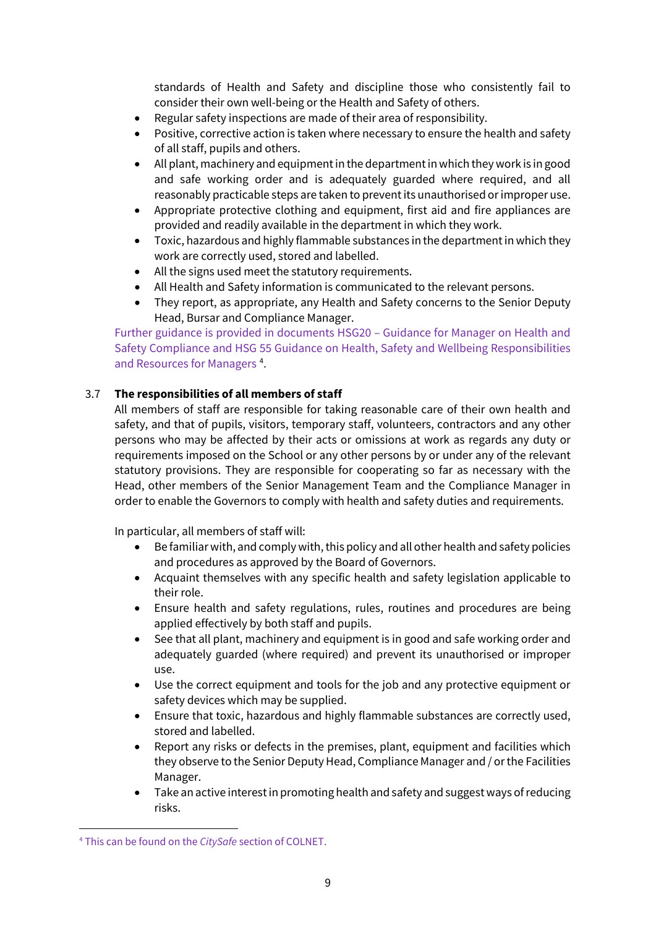standards of Health and Safety and discipline those who consistently fail to consider their own well-being or the Health and Safety of others.

- Regular safety inspections are made of their area of responsibility.
- Positive, corrective action is taken where necessary to ensure the health and safety of all staff, pupils and others.
- All plant, machinery and equipment in the department in which they work is in good and safe working order and is adequately guarded where required, and all reasonably practicable steps are taken to prevent its unauthorised or improper use.
- Appropriate protective clothing and equipment, first aid and fire appliances are provided and readily available in the department in which they work.
- Toxic, hazardous and highly flammable substances in the department in which they work are correctly used, stored and labelled.
- All the signs used meet the statutory requirements.
- All Health and Safety information is communicated to the relevant persons.
- They report, as appropriate, any Health and Safety concerns to the Senior Deputy Head, Bursar and Compliance Manager.

Further guidance is provided in documents HSG20 – Guidance for Manager on Health and Safety Compliance and HSG 55 Guidance on Health, Safety and Wellbeing Responsibilities and Resources for Managers<sup>[4](#page-8-0)</sup>.

#### 3.7 **The responsibilities of all members of staff**

All members of staff are responsible for taking reasonable care of their own health and safety, and that of pupils, visitors, temporary staff, volunteers, contractors and any other persons who may be affected by their acts or omissions at work as regards any duty or requirements imposed on the School or any other persons by or under any of the relevant statutory provisions. They are responsible for cooperating so far as necessary with the Head, other members of the Senior Management Team and the Compliance Manager in order to enable the Governors to comply with health and safety duties and requirements.

In particular, all members of staff will:

- Be familiar with, and comply with, this policy and all other health and safety policies and procedures as approved by the Board of Governors.
- Acquaint themselves with any specific health and safety legislation applicable to their role.
- Ensure health and safety regulations, rules, routines and procedures are being applied effectively by both staff and pupils.
- See that all plant, machinery and equipment is in good and safe working order and adequately guarded (where required) and prevent its unauthorised or improper use.
- Use the correct equipment and tools for the job and any protective equipment or safety devices which may be supplied.
- Ensure that toxic, hazardous and highly flammable substances are correctly used, stored and labelled.
- Report any risks or defects in the premises, plant, equipment and facilities which they observe to the Senior Deputy Head, Compliance Manager and / or the Facilities Manager.
- Take an active interest in promoting health and safety and suggest ways of reducing risks.

<span id="page-8-0"></span><sup>4</sup> This can be found on the *CitySafe* section of COLNET.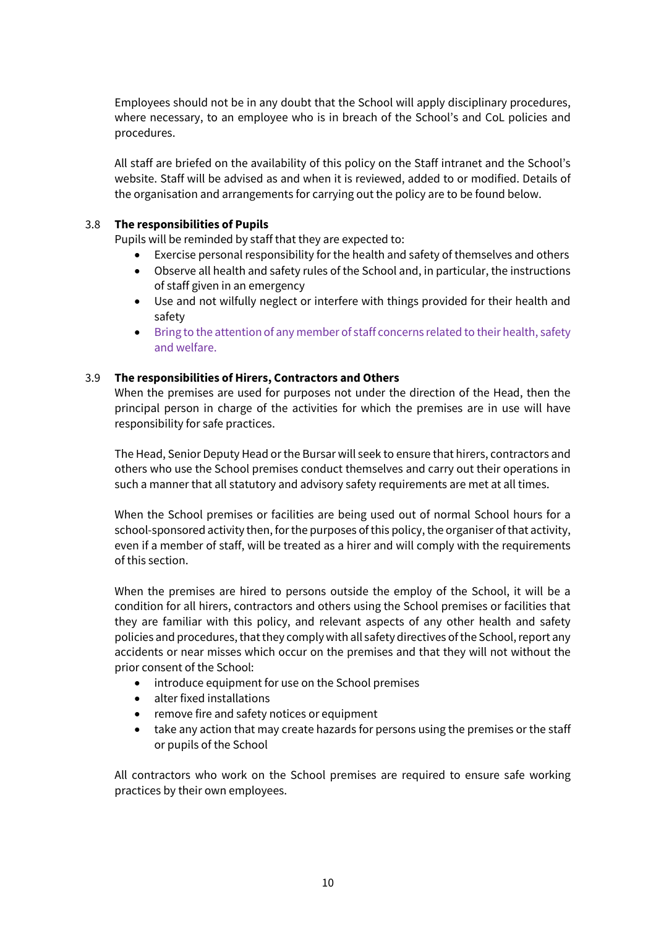Employees should not be in any doubt that the School will apply disciplinary procedures, where necessary, to an employee who is in breach of the School's and CoL policies and procedures.

All staff are briefed on the availability of this policy on the Staff intranet and the School's website. Staff will be advised as and when it is reviewed, added to or modified. Details of the organisation and arrangements for carrying out the policy are to be found below.

#### 3.8 **The responsibilities of Pupils**

Pupils will be reminded by staff that they are expected to:

- Exercise personal responsibility for the health and safety of themselves and others
- Observe all health and safety rules of the School and, in particular, the instructions of staff given in an emergency
- Use and not wilfully neglect or interfere with things provided for their health and safety
- Bring to the attention of any member of staff concerns related to their health, safety and welfare.

#### 3.9 **The responsibilities of Hirers, Contractors and Others**

When the premises are used for purposes not under the direction of the Head, then the principal person in charge of the activities for which the premises are in use will have responsibility for safe practices.

The Head, Senior Deputy Head or the Bursar will seek to ensure that hirers, contractors and others who use the School premises conduct themselves and carry out their operations in such a manner that all statutory and advisory safety requirements are met at all times.

When the School premises or facilities are being used out of normal School hours for a school-sponsored activity then, for the purposes of this policy, the organiser of that activity, even if a member of staff, will be treated as a hirer and will comply with the requirements of this section.

When the premises are hired to persons outside the employ of the School, it will be a condition for all hirers, contractors and others using the School premises or facilities that they are familiar with this policy, and relevant aspects of any other health and safety policies and procedures, that they comply with all safety directives of the School, report any accidents or near misses which occur on the premises and that they will not without the prior consent of the School:

- introduce equipment for use on the School premises
- alter fixed installations
- remove fire and safety notices or equipment
- take any action that may create hazards for persons using the premises or the staff or pupils of the School

All contractors who work on the School premises are required to ensure safe working practices by their own employees.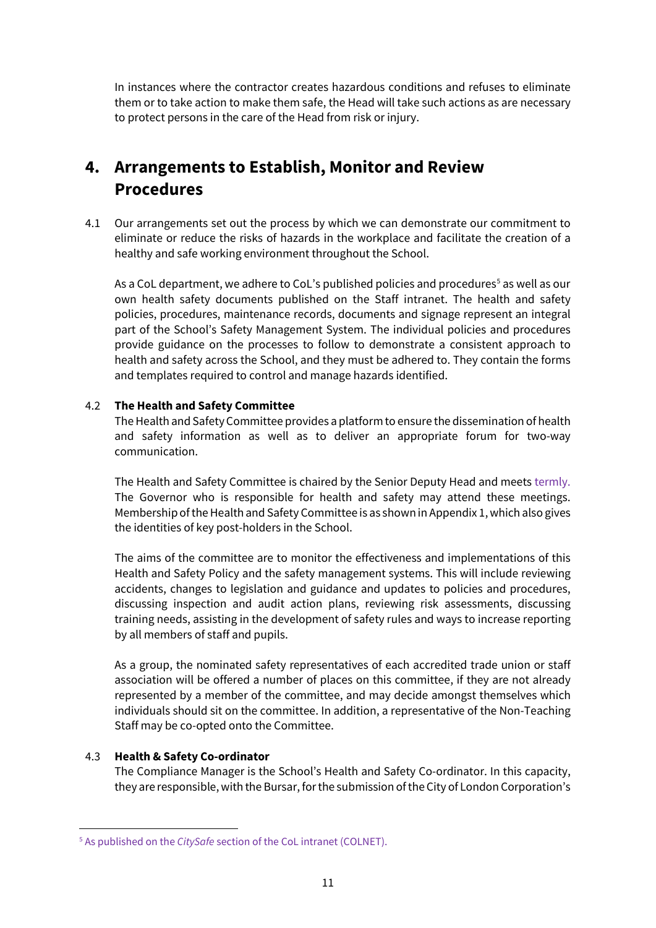In instances where the contractor creates hazardous conditions and refuses to eliminate them or to take action to make them safe, the Head will take such actions as are necessary to protect persons in the care of the Head from risk or injury.

## **4. Arrangements to Establish, Monitor and Review Procedures**

4.1 Our arrangements set out the process by which we can demonstrate our commitment to eliminate or reduce the risks of hazards in the workplace and facilitate the creation of a healthy and safe working environment throughout the School.

As a CoL department, we adhere to CoL's published policies and procedures<sup>[5](#page-10-0)</sup> as well as our own health safety documents published on the Staff intranet. The health and safety policies, procedures, maintenance records, documents and signage represent an integral part of the School's Safety Management System. The individual policies and procedures provide guidance on the processes to follow to demonstrate a consistent approach to health and safety across the School, and they must be adhered to. They contain the forms and templates required to control and manage hazards identified.

#### 4.2 **The Health and Safety Committee**

The Health and Safety Committee provides a platform to ensure the dissemination of health and safety information as well as to deliver an appropriate forum for two-way communication.

The Health and Safety Committee is chaired by the Senior Deputy Head and meets termly. The Governor who is responsible for health and safety may attend these meetings. Membership of the Health and Safety Committee is as shown in Appendix 1, which also gives the identities of key post-holders in the School.

The aims of the committee are to monitor the effectiveness and implementations of this Health and Safety Policy and the safety management systems. This will include reviewing accidents, changes to legislation and guidance and updates to policies and procedures, discussing inspection and audit action plans, reviewing risk assessments, discussing training needs, assisting in the development of safety rules and ways to increase reporting by all members of staff and pupils.

As a group, the nominated safety representatives of each accredited trade union or staff association will be offered a number of places on this committee, if they are not already represented by a member of the committee, and may decide amongst themselves which individuals should sit on the committee. In addition, a representative of the Non-Teaching Staff may be co-opted onto the Committee.

#### 4.3 **Health & Safety Co-ordinator**

The Compliance Manager is the School's Health and Safety Co-ordinator. In this capacity, they are responsible, with the Bursar, for the submission of the City of London Corporation's

<span id="page-10-0"></span><sup>5</sup> As published on the *CitySafe* section of the CoL intranet (COLNET).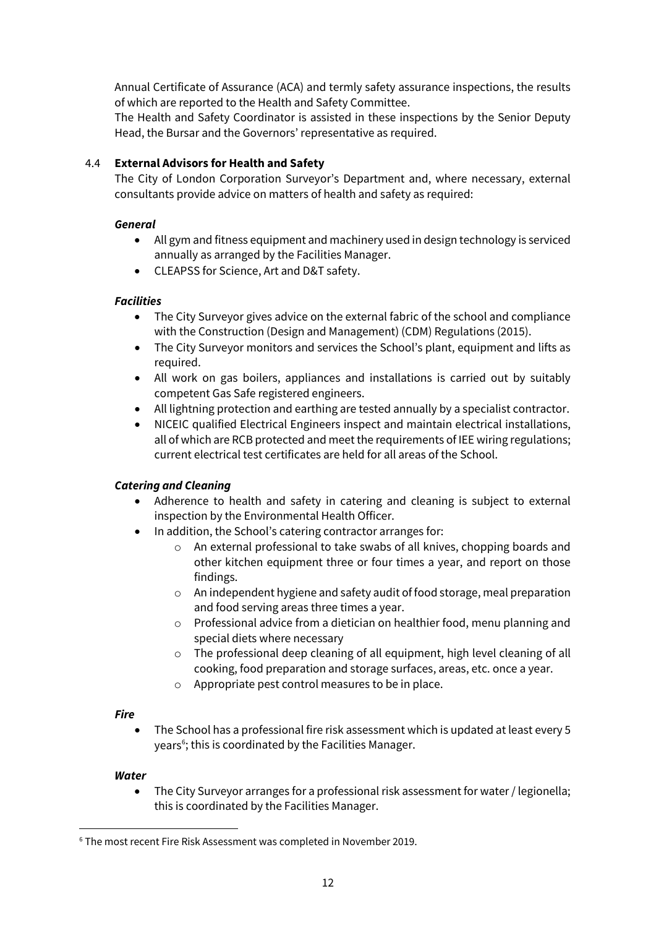Annual Certificate of Assurance (ACA) and termly safety assurance inspections, the results of which are reported to the Health and Safety Committee.

The Health and Safety Coordinator is assisted in these inspections by the Senior Deputy Head, the Bursar and the Governors' representative as required.

#### 4.4 **External Advisors for Health and Safety**

The City of London Corporation Surveyor's Department and, where necessary, external consultants provide advice on matters of health and safety as required:

#### *General*

- All gym and fitness equipment and machinery used in design technology is serviced annually as arranged by the Facilities Manager.
- CLEAPSS for Science, Art and D&T safety.

#### *Facilities*

- The City Surveyor gives advice on the external fabric of the school and compliance with the Construction (Design and Management) (CDM) Regulations (2015).
- The City Surveyor monitors and services the School's plant, equipment and lifts as required.
- All work on gas boilers, appliances and installations is carried out by suitably competent Gas Safe registered engineers.
- All lightning protection and earthing are tested annually by a specialist contractor.
- NICEIC qualified Electrical Engineers inspect and maintain electrical installations, all of which are RCB protected and meet the requirements of IEE wiring regulations; current electrical test certificates are held for all areas of the School.

#### *Catering and Cleaning*

- Adherence to health and safety in catering and cleaning is subject to external inspection by the Environmental Health Officer.
- In addition, the School's catering contractor arranges for:
	- o An external professional to take swabs of all knives, chopping boards and other kitchen equipment three or four times a year, and report on those findings.
	- o An independent hygiene and safety audit of food storage, meal preparation and food serving areas three times a year.
	- o Professional advice from a dietician on healthier food, menu planning and special diets where necessary
	- o The professional deep cleaning of all equipment, high level cleaning of all cooking, food preparation and storage surfaces, areas, etc. once a year.
	- o Appropriate pest control measures to be in place.

#### *Fire*

• The School has a professional fire risk assessment which is updated at least every 5 years<sup>[6](#page-11-0)</sup>; this is coordinated by the Facilities Manager.

#### *Water*

• The City Surveyor arranges for a professional risk assessment for water / legionella; this is coordinated by the Facilities Manager.

<span id="page-11-0"></span><sup>6</sup> The most recent Fire Risk Assessment was completed in November 2019.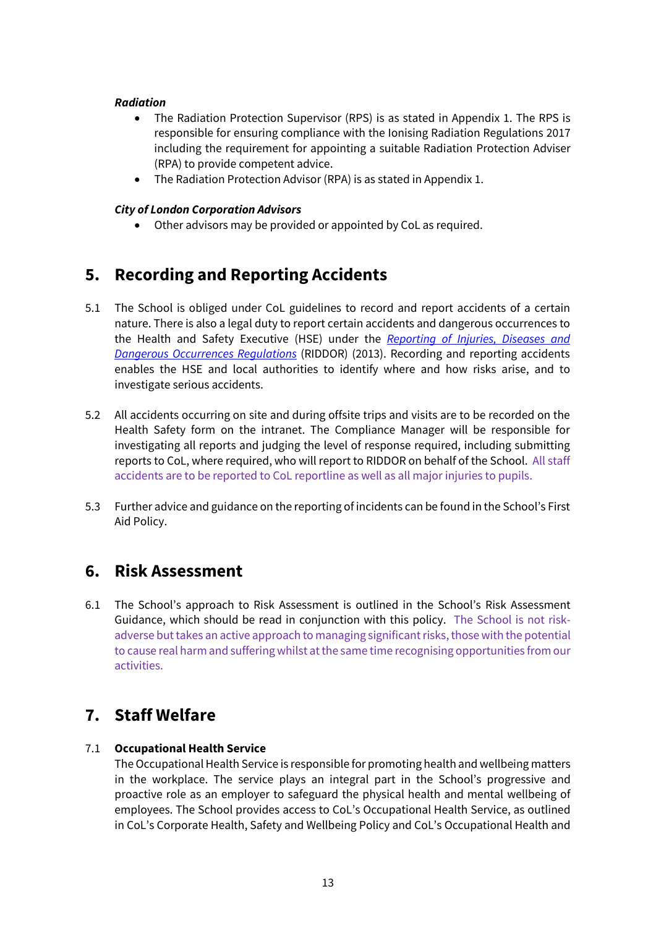#### *Radiation*

- The Radiation Protection Supervisor (RPS) is as stated in Appendix 1. The RPS is responsible for ensuring compliance with the Ionising Radiation Regulations 2017 including the requirement for appointing a suitable Radiation Protection Adviser (RPA) to provide competent advice.
- The Radiation Protection Advisor (RPA) is as stated in Appendix 1.

#### *City of London Corporation Advisors*

• Other advisors may be provided or appointed by CoL as required.

### **5. Recording and Reporting Accidents**

- 5.1 The School is obliged under CoL guidelines to record and report accidents of a certain nature. There is also a legal duty to report certain accidents and dangerous occurrences to the Health and Safety Executive (HSE) under the *[Reporting of Injuries, Diseases and](http://www.hse.gov.uk/riddor/index.htm)  [Dangerous Occurrences Regulations](http://www.hse.gov.uk/riddor/index.htm)* (RIDDOR) (2013). Recording and reporting accidents enables the HSE and local authorities to identify where and how risks arise, and to investigate serious accidents.
- 5.2 All accidents occurring on site and during offsite trips and visits are to be recorded on the Health Safety form on the intranet. The Compliance Manager will be responsible for investigating all reports and judging the level of response required, including submitting reports to CoL, where required, who will report to RIDDOR on behalf of the School. All staff accidents are to be reported to CoL reportline as well as all major injuries to pupils.
- 5.3 Further advice and guidance on the reporting of incidents can be found in the School's First Aid Policy.

### **6. Risk Assessment**

6.1 The School's approach to Risk Assessment is outlined in the School's Risk Assessment Guidance, which should be read in conjunction with this policy. The School is not riskadverse but takes an active approach to managing significantrisks, those with the potential to cause real harm and suffering whilst at the same time recognising opportunities from our activities.

### **7. Staff Welfare**

#### 7.1 **Occupational Health Service**

The Occupational Health Service is responsible for promoting health and wellbeing matters in the workplace. The service plays an integral part in the School's progressive and proactive role as an employer to safeguard the physical health and mental wellbeing of employees. The School provides access to CoL's Occupational Health Service, as outlined in CoL's Corporate Health, Safety and Wellbeing Policy and CoL's Occupational Health and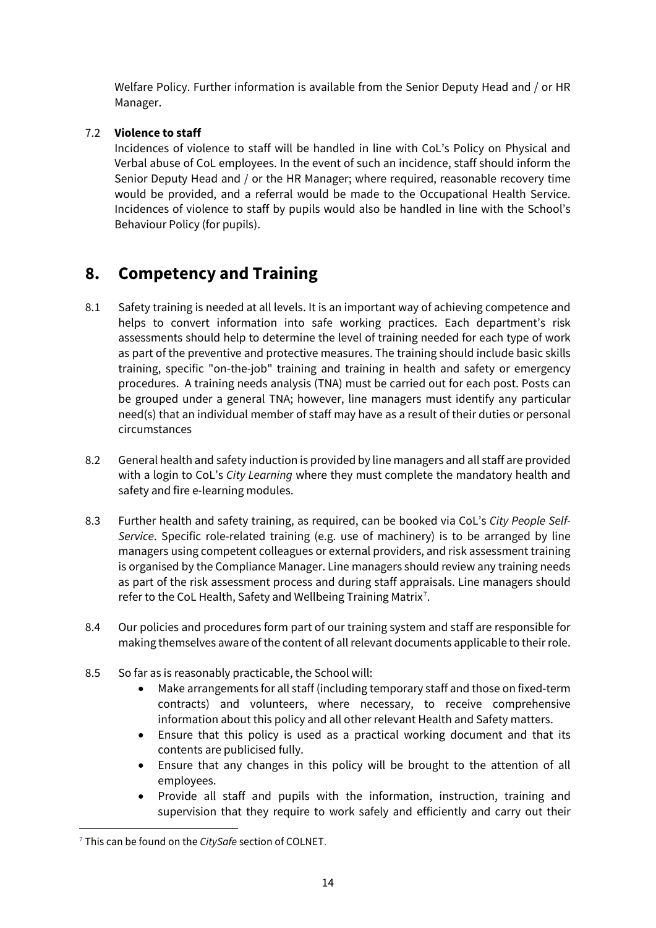Welfare Policy. Further information is available from the Senior Deputy Head and / or HR Manager.

#### 7.2 **Violence to staff**

Incidences of violence to staff will be handled in line with CoL's Policy on Physical and Verbal abuse of CoL employees. In the event of such an incidence, staff should inform the Senior Deputy Head and / or the HR Manager; where required, reasonable recovery time would be provided, and a referral would be made to the Occupational Health Service. Incidences of violence to staff by pupils would also be handled in line with the School's Behaviour Policy (for pupils).

### **8. Competency and Training**

- 8.1 Safety training is needed at all levels. It is an important way of achieving competence and helps to convert information into safe working practices. Each department's risk assessments should help to determine the level of training needed for each type of work as part of the preventive and protective measures. The training should include basic skills training, specific "on-the-job" training and training in health and safety or emergency procedures. A training needs analysis (TNA) must be carried out for each post. Posts can be grouped under a general TNA; however, line managers must identify any particular need(s) that an individual member of staff may have as a result of their duties or personal circumstances
- 8.2 General health and safety induction is provided by line managers and all staff are provided with a login to CoL's *City Learning* where they must complete the mandatory health and safety and fire e-learning modules.
- 8.3 Further health and safety training, as required, can be booked via CoL's *City People Self-Service*. Specific role-related training (e.g. use of machinery) is to be arranged by line managers using competent colleagues or external providers, and risk assessment training is organised by the Compliance Manager. Line managers should review any training needs as part of the risk assessment process and during staff appraisals. Line managers should refer to the CoL Health, Safety and Wellbeing Training Matrix<sup>[7](#page-13-0)</sup>.
- 8.4 Our policies and procedures form part of our training system and staff are responsible for making themselves aware of the content of all relevant documents applicable to their role.
- 8.5 So far as is reasonably practicable, the School will:
	- Make arrangements for all staff (including temporary staff and those on fixed-term contracts) and volunteers, where necessary, to receive comprehensive information about this policy and all other relevant Health and Safety matters.
	- Ensure that this policy is used as a practical working document and that its contents are publicised fully.
	- Ensure that any changes in this policy will be brought to the attention of all employees.
	- Provide all staff and pupils with the information, instruction, training and supervision that they require to work safely and efficiently and carry out their

<span id="page-13-0"></span><sup>7</sup> This can be found on the *CitySafe* section of COLNET.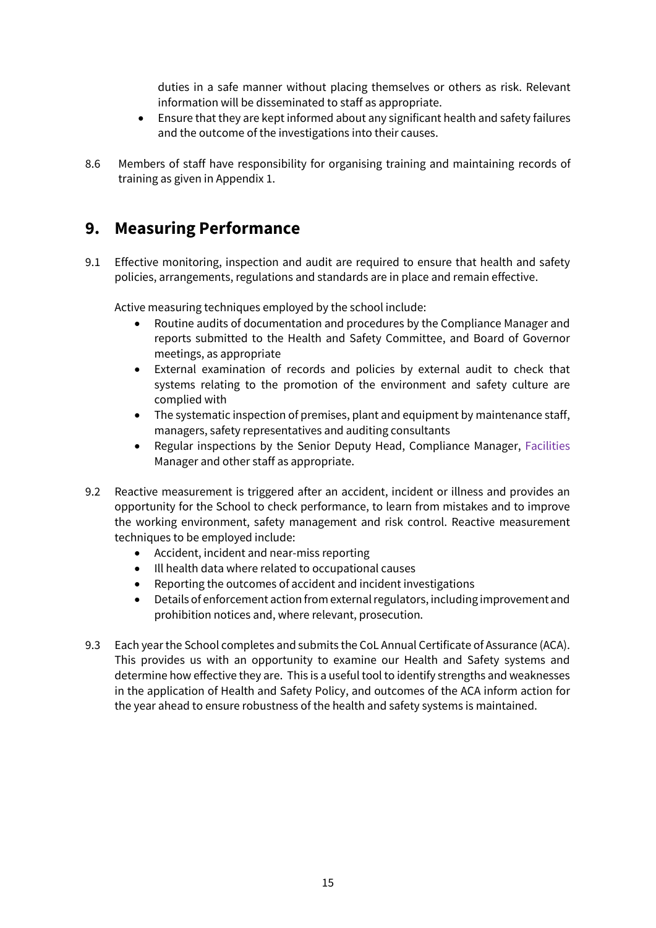duties in a safe manner without placing themselves or others as risk. Relevant information will be disseminated to staff as appropriate.

- Ensure that they are kept informed about any significant health and safety failures and the outcome of the investigations into their causes.
- 8.6 Members of staff have responsibility for organising training and maintaining records of training as given in Appendix 1.

### **9. Measuring Performance**

9.1 Effective monitoring, inspection and audit are required to ensure that health and safety policies, arrangements, regulations and standards are in place and remain effective.

Active measuring techniques employed by the school include:

- Routine audits of documentation and procedures by the Compliance Manager and reports submitted to the Health and Safety Committee, and Board of Governor meetings, as appropriate
- External examination of records and policies by external audit to check that systems relating to the promotion of the environment and safety culture are complied with
- The systematic inspection of premises, plant and equipment by maintenance staff, managers, safety representatives and auditing consultants
- Regular inspections by the Senior Deputy Head, Compliance Manager, Facilities Manager and other staff as appropriate.
- 9.2 Reactive measurement is triggered after an accident, incident or illness and provides an opportunity for the School to check performance, to learn from mistakes and to improve the working environment, safety management and risk control. Reactive measurement techniques to be employed include:
	- Accident, incident and near-miss reporting
	- Ill health data where related to occupational causes
	- Reporting the outcomes of accident and incident investigations
	- Details of enforcement action from external regulators, including improvement and prohibition notices and, where relevant, prosecution.
- 9.3 Each year the School completes and submits the CoL Annual Certificate of Assurance (ACA). This provides us with an opportunity to examine our Health and Safety systems and determine how effective they are. This is a useful tool to identify strengths and weaknesses in the application of Health and Safety Policy, and outcomes of the ACA inform action for the year ahead to ensure robustness of the health and safety systems is maintained.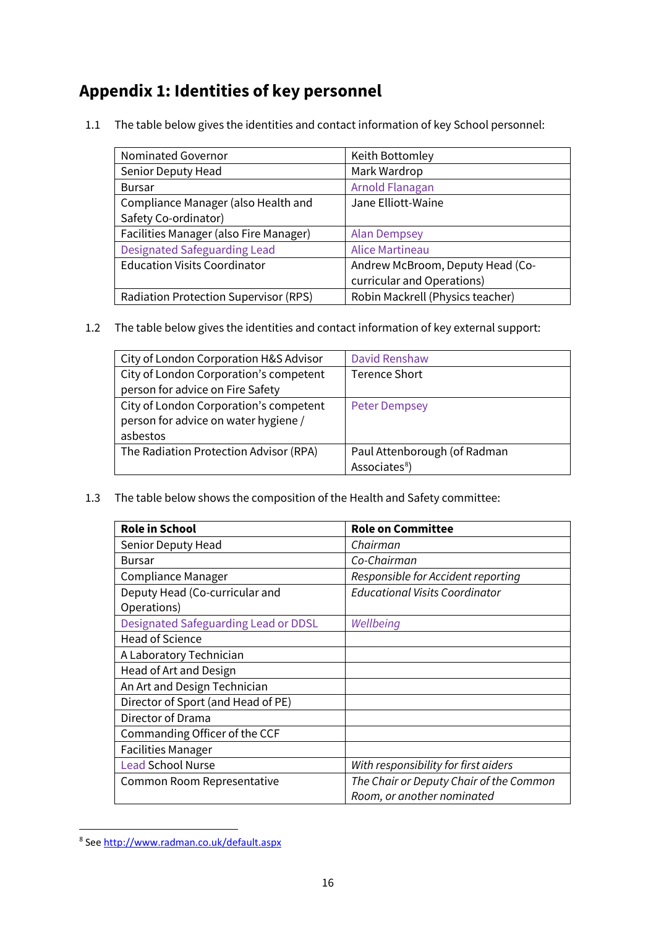# **Appendix 1: Identities of key personnel**

1.1 The table below gives the identities and contact information of key School personnel:

| Nominated Governor                           | Keith Bottomley                  |
|----------------------------------------------|----------------------------------|
| Senior Deputy Head                           | Mark Wardrop                     |
| <b>Bursar</b>                                | Arnold Flanagan                  |
| Compliance Manager (also Health and          | Jane Elliott-Waine               |
| Safety Co-ordinator)                         |                                  |
| Facilities Manager (also Fire Manager)       | <b>Alan Dempsey</b>              |
| <b>Designated Safeguarding Lead</b>          | <b>Alice Martineau</b>           |
| <b>Education Visits Coordinator</b>          | Andrew McBroom, Deputy Head (Co- |
|                                              | curricular and Operations)       |
| <b>Radiation Protection Supervisor (RPS)</b> | Robin Mackrell (Physics teacher) |

1.2 The table below gives the identities and contact information of key external support:

| City of London Corporation H&S Advisor | David Renshaw                |
|----------------------------------------|------------------------------|
| City of London Corporation's competent | <b>Terence Short</b>         |
| person for advice on Fire Safety       |                              |
| City of London Corporation's competent | <b>Peter Dempsey</b>         |
| person for advice on water hygiene /   |                              |
| asbestos                               |                              |
| The Radiation Protection Advisor (RPA) | Paul Attenborough (of Radman |
|                                        | Associates <sup>8</sup> )    |

1.3 The table below shows the composition of the Health and Safety committee:

| <b>Role in School</b>                | <b>Role on Committee</b>                |
|--------------------------------------|-----------------------------------------|
| Senior Deputy Head                   | Chairman                                |
| <b>Bursar</b>                        | Co-Chairman                             |
| Compliance Manager                   | Responsible for Accident reporting      |
| Deputy Head (Co-curricular and       | <b>Educational Visits Coordinator</b>   |
| Operations)                          |                                         |
| Designated Safeguarding Lead or DDSL | Wellbeing                               |
| <b>Head of Science</b>               |                                         |
| A Laboratory Technician              |                                         |
| Head of Art and Design               |                                         |
| An Art and Design Technician         |                                         |
| Director of Sport (and Head of PE)   |                                         |
| Director of Drama                    |                                         |
| Commanding Officer of the CCF        |                                         |
| <b>Facilities Manager</b>            |                                         |
| <b>Lead School Nurse</b>             | With responsibility for first aiders    |
| Common Room Representative           | The Chair or Deputy Chair of the Common |
|                                      | Room, or another nominated              |

<span id="page-15-0"></span><sup>8</sup> See<http://www.radman.co.uk/default.aspx>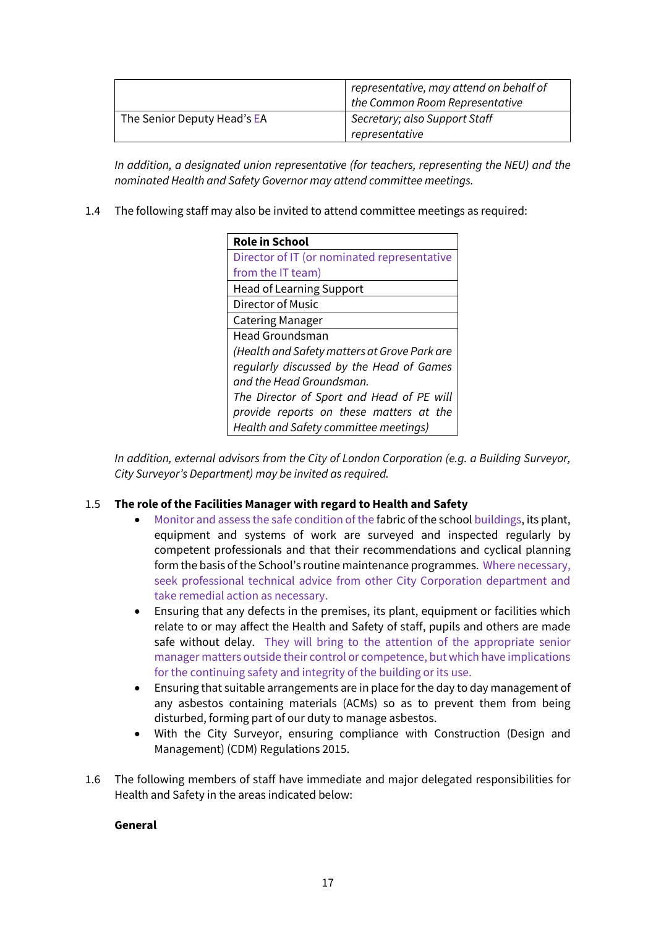|                             | representative, may attend on behalf of<br>the Common Room Representative |
|-----------------------------|---------------------------------------------------------------------------|
| The Senior Deputy Head's EA | Secretary; also Support Staff<br>representative                           |

*In addition, a designated union representative (for teachers, representing the NEU) and the nominated Health and Safety Governor may attend committee meetings.*

1.4 The following staff may also be invited to attend committee meetings as required:

| <b>Role in School</b>                        |
|----------------------------------------------|
| Director of IT (or nominated representative  |
| from the IT team)                            |
| <b>Head of Learning Support</b>              |
| Director of Music                            |
| <b>Catering Manager</b>                      |
| <b>Head Groundsman</b>                       |
| (Health and Safety matters at Grove Park are |
| regularly discussed by the Head of Games     |
| and the Head Groundsman.                     |
| The Director of Sport and Head of PE will    |
| provide reports on these matters at the      |
| Health and Safety committee meetings)        |

*In addition, external advisors from the City of London Corporation (e.g. a Building Surveyor, City Surveyor's Department) may be invited as required.*

#### 1.5 **The role of the Facilities Manager with regard to Health and Safety**

- Monitor and assess the safe condition of the fabric of the school buildings, its plant, equipment and systems of work are surveyed and inspected regularly by competent professionals and that their recommendations and cyclical planning form the basis of the School's routine maintenance programmes. Where necessary, seek professional technical advice from other City Corporation department and take remedial action as necessary.
- Ensuring that any defects in the premises, its plant, equipment or facilities which relate to or may affect the Health and Safety of staff, pupils and others are made safe without delay. They will bring to the attention of the appropriate senior manager matters outside their control or competence, but which have implications for the continuing safety and integrity of the building or its use.
- Ensuring that suitable arrangements are in place for the day to day management of any asbestos containing materials (ACMs) so as to prevent them from being disturbed, forming part of our duty to manage asbestos.
- With the City Surveyor, ensuring compliance with Construction (Design and Management) (CDM) Regulations 2015.
- 1.6 The following members of staff have immediate and major delegated responsibilities for Health and Safety in the areas indicated below:

#### **General**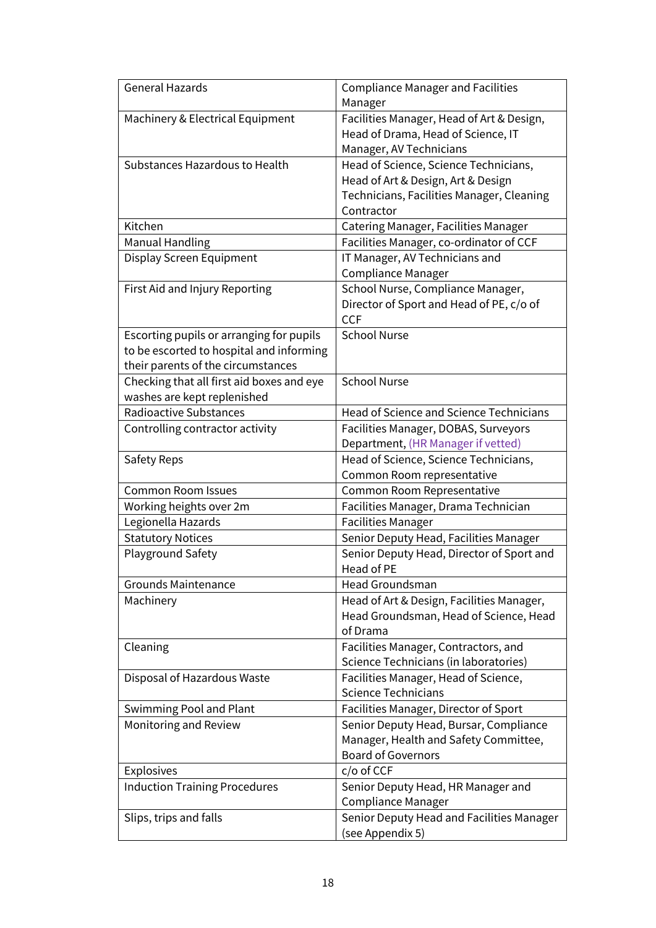| Machinery & Electrical Equipment<br>Facilities Manager, Head of Art & Design,<br>Head of Drama, Head of Science, IT<br>Manager, AV Technicians<br>Substances Hazardous to Health<br>Head of Science, Science Technicians,<br>Head of Art & Design, Art & Design<br>Technicians, Facilities Manager, Cleaning<br>Contractor<br>Kitchen<br>Catering Manager, Facilities Manager<br><b>Manual Handling</b><br>Facilities Manager, co-ordinator of CCF<br>Display Screen Equipment<br>IT Manager, AV Technicians and<br><b>Compliance Manager</b><br>School Nurse, Compliance Manager,<br>First Aid and Injury Reporting<br>Director of Sport and Head of PE, c/o of<br><b>CCF</b><br><b>School Nurse</b><br>Escorting pupils or arranging for pupils<br>to be escorted to hospital and informing<br>their parents of the circumstances<br><b>School Nurse</b><br>Checking that all first aid boxes and eye<br>washes are kept replenished<br><b>Radioactive Substances</b><br>Head of Science and Science Technicians<br>Controlling contractor activity<br>Facilities Manager, DOBAS, Surveyors<br>Department, (HR Manager if vetted)<br>Head of Science, Science Technicians,<br>Safety Reps<br>Common Room representative<br><b>Common Room Issues</b><br>Common Room Representative<br>Facilities Manager, Drama Technician<br>Working heights over 2m<br>Legionella Hazards<br><b>Facilities Manager</b><br>Senior Deputy Head, Facilities Manager<br><b>Statutory Notices</b><br>Playground Safety<br>Senior Deputy Head, Director of Sport and<br>Head of PE<br>Head Groundsman<br><b>Grounds Maintenance</b><br>Head of Art & Design, Facilities Manager,<br>Machinery<br>Head Groundsman, Head of Science, Head<br>of Drama<br>Facilities Manager, Contractors, and<br>Cleaning<br>Science Technicians (in laboratories)<br>Facilities Manager, Head of Science,<br>Disposal of Hazardous Waste<br><b>Science Technicians</b><br>Facilities Manager, Director of Sport<br>Swimming Pool and Plant<br>Monitoring and Review<br>Senior Deputy Head, Bursar, Compliance<br>Manager, Health and Safety Committee,<br><b>Board of Governors</b><br>c/o of CCF<br>Explosives<br><b>Induction Training Procedures</b><br>Senior Deputy Head, HR Manager and<br>Compliance Manager<br>Senior Deputy Head and Facilities Manager<br>Slips, trips and falls | <b>General Hazards</b> | <b>Compliance Manager and Facilities</b> |
|---------------------------------------------------------------------------------------------------------------------------------------------------------------------------------------------------------------------------------------------------------------------------------------------------------------------------------------------------------------------------------------------------------------------------------------------------------------------------------------------------------------------------------------------------------------------------------------------------------------------------------------------------------------------------------------------------------------------------------------------------------------------------------------------------------------------------------------------------------------------------------------------------------------------------------------------------------------------------------------------------------------------------------------------------------------------------------------------------------------------------------------------------------------------------------------------------------------------------------------------------------------------------------------------------------------------------------------------------------------------------------------------------------------------------------------------------------------------------------------------------------------------------------------------------------------------------------------------------------------------------------------------------------------------------------------------------------------------------------------------------------------------------------------------------------------------------------------------------------------------------------------------------------------------------------------------------------------------------------------------------------------------------------------------------------------------------------------------------------------------------------------------------------------------------------------------------------------------------------------------------------------------------------------------------------------------------------------------------------|------------------------|------------------------------------------|
|                                                                                                                                                                                                                                                                                                                                                                                                                                                                                                                                                                                                                                                                                                                                                                                                                                                                                                                                                                                                                                                                                                                                                                                                                                                                                                                                                                                                                                                                                                                                                                                                                                                                                                                                                                                                                                                                                                                                                                                                                                                                                                                                                                                                                                                                                                                                                         |                        | Manager                                  |
|                                                                                                                                                                                                                                                                                                                                                                                                                                                                                                                                                                                                                                                                                                                                                                                                                                                                                                                                                                                                                                                                                                                                                                                                                                                                                                                                                                                                                                                                                                                                                                                                                                                                                                                                                                                                                                                                                                                                                                                                                                                                                                                                                                                                                                                                                                                                                         |                        |                                          |
|                                                                                                                                                                                                                                                                                                                                                                                                                                                                                                                                                                                                                                                                                                                                                                                                                                                                                                                                                                                                                                                                                                                                                                                                                                                                                                                                                                                                                                                                                                                                                                                                                                                                                                                                                                                                                                                                                                                                                                                                                                                                                                                                                                                                                                                                                                                                                         |                        |                                          |
|                                                                                                                                                                                                                                                                                                                                                                                                                                                                                                                                                                                                                                                                                                                                                                                                                                                                                                                                                                                                                                                                                                                                                                                                                                                                                                                                                                                                                                                                                                                                                                                                                                                                                                                                                                                                                                                                                                                                                                                                                                                                                                                                                                                                                                                                                                                                                         |                        |                                          |
|                                                                                                                                                                                                                                                                                                                                                                                                                                                                                                                                                                                                                                                                                                                                                                                                                                                                                                                                                                                                                                                                                                                                                                                                                                                                                                                                                                                                                                                                                                                                                                                                                                                                                                                                                                                                                                                                                                                                                                                                                                                                                                                                                                                                                                                                                                                                                         |                        |                                          |
|                                                                                                                                                                                                                                                                                                                                                                                                                                                                                                                                                                                                                                                                                                                                                                                                                                                                                                                                                                                                                                                                                                                                                                                                                                                                                                                                                                                                                                                                                                                                                                                                                                                                                                                                                                                                                                                                                                                                                                                                                                                                                                                                                                                                                                                                                                                                                         |                        |                                          |
|                                                                                                                                                                                                                                                                                                                                                                                                                                                                                                                                                                                                                                                                                                                                                                                                                                                                                                                                                                                                                                                                                                                                                                                                                                                                                                                                                                                                                                                                                                                                                                                                                                                                                                                                                                                                                                                                                                                                                                                                                                                                                                                                                                                                                                                                                                                                                         |                        |                                          |
|                                                                                                                                                                                                                                                                                                                                                                                                                                                                                                                                                                                                                                                                                                                                                                                                                                                                                                                                                                                                                                                                                                                                                                                                                                                                                                                                                                                                                                                                                                                                                                                                                                                                                                                                                                                                                                                                                                                                                                                                                                                                                                                                                                                                                                                                                                                                                         |                        |                                          |
|                                                                                                                                                                                                                                                                                                                                                                                                                                                                                                                                                                                                                                                                                                                                                                                                                                                                                                                                                                                                                                                                                                                                                                                                                                                                                                                                                                                                                                                                                                                                                                                                                                                                                                                                                                                                                                                                                                                                                                                                                                                                                                                                                                                                                                                                                                                                                         |                        |                                          |
|                                                                                                                                                                                                                                                                                                                                                                                                                                                                                                                                                                                                                                                                                                                                                                                                                                                                                                                                                                                                                                                                                                                                                                                                                                                                                                                                                                                                                                                                                                                                                                                                                                                                                                                                                                                                                                                                                                                                                                                                                                                                                                                                                                                                                                                                                                                                                         |                        |                                          |
|                                                                                                                                                                                                                                                                                                                                                                                                                                                                                                                                                                                                                                                                                                                                                                                                                                                                                                                                                                                                                                                                                                                                                                                                                                                                                                                                                                                                                                                                                                                                                                                                                                                                                                                                                                                                                                                                                                                                                                                                                                                                                                                                                                                                                                                                                                                                                         |                        |                                          |
|                                                                                                                                                                                                                                                                                                                                                                                                                                                                                                                                                                                                                                                                                                                                                                                                                                                                                                                                                                                                                                                                                                                                                                                                                                                                                                                                                                                                                                                                                                                                                                                                                                                                                                                                                                                                                                                                                                                                                                                                                                                                                                                                                                                                                                                                                                                                                         |                        |                                          |
|                                                                                                                                                                                                                                                                                                                                                                                                                                                                                                                                                                                                                                                                                                                                                                                                                                                                                                                                                                                                                                                                                                                                                                                                                                                                                                                                                                                                                                                                                                                                                                                                                                                                                                                                                                                                                                                                                                                                                                                                                                                                                                                                                                                                                                                                                                                                                         |                        |                                          |
|                                                                                                                                                                                                                                                                                                                                                                                                                                                                                                                                                                                                                                                                                                                                                                                                                                                                                                                                                                                                                                                                                                                                                                                                                                                                                                                                                                                                                                                                                                                                                                                                                                                                                                                                                                                                                                                                                                                                                                                                                                                                                                                                                                                                                                                                                                                                                         |                        |                                          |
|                                                                                                                                                                                                                                                                                                                                                                                                                                                                                                                                                                                                                                                                                                                                                                                                                                                                                                                                                                                                                                                                                                                                                                                                                                                                                                                                                                                                                                                                                                                                                                                                                                                                                                                                                                                                                                                                                                                                                                                                                                                                                                                                                                                                                                                                                                                                                         |                        |                                          |
|                                                                                                                                                                                                                                                                                                                                                                                                                                                                                                                                                                                                                                                                                                                                                                                                                                                                                                                                                                                                                                                                                                                                                                                                                                                                                                                                                                                                                                                                                                                                                                                                                                                                                                                                                                                                                                                                                                                                                                                                                                                                                                                                                                                                                                                                                                                                                         |                        |                                          |
|                                                                                                                                                                                                                                                                                                                                                                                                                                                                                                                                                                                                                                                                                                                                                                                                                                                                                                                                                                                                                                                                                                                                                                                                                                                                                                                                                                                                                                                                                                                                                                                                                                                                                                                                                                                                                                                                                                                                                                                                                                                                                                                                                                                                                                                                                                                                                         |                        |                                          |
|                                                                                                                                                                                                                                                                                                                                                                                                                                                                                                                                                                                                                                                                                                                                                                                                                                                                                                                                                                                                                                                                                                                                                                                                                                                                                                                                                                                                                                                                                                                                                                                                                                                                                                                                                                                                                                                                                                                                                                                                                                                                                                                                                                                                                                                                                                                                                         |                        |                                          |
|                                                                                                                                                                                                                                                                                                                                                                                                                                                                                                                                                                                                                                                                                                                                                                                                                                                                                                                                                                                                                                                                                                                                                                                                                                                                                                                                                                                                                                                                                                                                                                                                                                                                                                                                                                                                                                                                                                                                                                                                                                                                                                                                                                                                                                                                                                                                                         |                        |                                          |
|                                                                                                                                                                                                                                                                                                                                                                                                                                                                                                                                                                                                                                                                                                                                                                                                                                                                                                                                                                                                                                                                                                                                                                                                                                                                                                                                                                                                                                                                                                                                                                                                                                                                                                                                                                                                                                                                                                                                                                                                                                                                                                                                                                                                                                                                                                                                                         |                        |                                          |
|                                                                                                                                                                                                                                                                                                                                                                                                                                                                                                                                                                                                                                                                                                                                                                                                                                                                                                                                                                                                                                                                                                                                                                                                                                                                                                                                                                                                                                                                                                                                                                                                                                                                                                                                                                                                                                                                                                                                                                                                                                                                                                                                                                                                                                                                                                                                                         |                        |                                          |
|                                                                                                                                                                                                                                                                                                                                                                                                                                                                                                                                                                                                                                                                                                                                                                                                                                                                                                                                                                                                                                                                                                                                                                                                                                                                                                                                                                                                                                                                                                                                                                                                                                                                                                                                                                                                                                                                                                                                                                                                                                                                                                                                                                                                                                                                                                                                                         |                        |                                          |
|                                                                                                                                                                                                                                                                                                                                                                                                                                                                                                                                                                                                                                                                                                                                                                                                                                                                                                                                                                                                                                                                                                                                                                                                                                                                                                                                                                                                                                                                                                                                                                                                                                                                                                                                                                                                                                                                                                                                                                                                                                                                                                                                                                                                                                                                                                                                                         |                        |                                          |
|                                                                                                                                                                                                                                                                                                                                                                                                                                                                                                                                                                                                                                                                                                                                                                                                                                                                                                                                                                                                                                                                                                                                                                                                                                                                                                                                                                                                                                                                                                                                                                                                                                                                                                                                                                                                                                                                                                                                                                                                                                                                                                                                                                                                                                                                                                                                                         |                        |                                          |
|                                                                                                                                                                                                                                                                                                                                                                                                                                                                                                                                                                                                                                                                                                                                                                                                                                                                                                                                                                                                                                                                                                                                                                                                                                                                                                                                                                                                                                                                                                                                                                                                                                                                                                                                                                                                                                                                                                                                                                                                                                                                                                                                                                                                                                                                                                                                                         |                        |                                          |
|                                                                                                                                                                                                                                                                                                                                                                                                                                                                                                                                                                                                                                                                                                                                                                                                                                                                                                                                                                                                                                                                                                                                                                                                                                                                                                                                                                                                                                                                                                                                                                                                                                                                                                                                                                                                                                                                                                                                                                                                                                                                                                                                                                                                                                                                                                                                                         |                        |                                          |
|                                                                                                                                                                                                                                                                                                                                                                                                                                                                                                                                                                                                                                                                                                                                                                                                                                                                                                                                                                                                                                                                                                                                                                                                                                                                                                                                                                                                                                                                                                                                                                                                                                                                                                                                                                                                                                                                                                                                                                                                                                                                                                                                                                                                                                                                                                                                                         |                        |                                          |
|                                                                                                                                                                                                                                                                                                                                                                                                                                                                                                                                                                                                                                                                                                                                                                                                                                                                                                                                                                                                                                                                                                                                                                                                                                                                                                                                                                                                                                                                                                                                                                                                                                                                                                                                                                                                                                                                                                                                                                                                                                                                                                                                                                                                                                                                                                                                                         |                        |                                          |
|                                                                                                                                                                                                                                                                                                                                                                                                                                                                                                                                                                                                                                                                                                                                                                                                                                                                                                                                                                                                                                                                                                                                                                                                                                                                                                                                                                                                                                                                                                                                                                                                                                                                                                                                                                                                                                                                                                                                                                                                                                                                                                                                                                                                                                                                                                                                                         |                        |                                          |
|                                                                                                                                                                                                                                                                                                                                                                                                                                                                                                                                                                                                                                                                                                                                                                                                                                                                                                                                                                                                                                                                                                                                                                                                                                                                                                                                                                                                                                                                                                                                                                                                                                                                                                                                                                                                                                                                                                                                                                                                                                                                                                                                                                                                                                                                                                                                                         |                        |                                          |
|                                                                                                                                                                                                                                                                                                                                                                                                                                                                                                                                                                                                                                                                                                                                                                                                                                                                                                                                                                                                                                                                                                                                                                                                                                                                                                                                                                                                                                                                                                                                                                                                                                                                                                                                                                                                                                                                                                                                                                                                                                                                                                                                                                                                                                                                                                                                                         |                        |                                          |
|                                                                                                                                                                                                                                                                                                                                                                                                                                                                                                                                                                                                                                                                                                                                                                                                                                                                                                                                                                                                                                                                                                                                                                                                                                                                                                                                                                                                                                                                                                                                                                                                                                                                                                                                                                                                                                                                                                                                                                                                                                                                                                                                                                                                                                                                                                                                                         |                        |                                          |
|                                                                                                                                                                                                                                                                                                                                                                                                                                                                                                                                                                                                                                                                                                                                                                                                                                                                                                                                                                                                                                                                                                                                                                                                                                                                                                                                                                                                                                                                                                                                                                                                                                                                                                                                                                                                                                                                                                                                                                                                                                                                                                                                                                                                                                                                                                                                                         |                        |                                          |
|                                                                                                                                                                                                                                                                                                                                                                                                                                                                                                                                                                                                                                                                                                                                                                                                                                                                                                                                                                                                                                                                                                                                                                                                                                                                                                                                                                                                                                                                                                                                                                                                                                                                                                                                                                                                                                                                                                                                                                                                                                                                                                                                                                                                                                                                                                                                                         |                        |                                          |
|                                                                                                                                                                                                                                                                                                                                                                                                                                                                                                                                                                                                                                                                                                                                                                                                                                                                                                                                                                                                                                                                                                                                                                                                                                                                                                                                                                                                                                                                                                                                                                                                                                                                                                                                                                                                                                                                                                                                                                                                                                                                                                                                                                                                                                                                                                                                                         |                        |                                          |
|                                                                                                                                                                                                                                                                                                                                                                                                                                                                                                                                                                                                                                                                                                                                                                                                                                                                                                                                                                                                                                                                                                                                                                                                                                                                                                                                                                                                                                                                                                                                                                                                                                                                                                                                                                                                                                                                                                                                                                                                                                                                                                                                                                                                                                                                                                                                                         |                        |                                          |
|                                                                                                                                                                                                                                                                                                                                                                                                                                                                                                                                                                                                                                                                                                                                                                                                                                                                                                                                                                                                                                                                                                                                                                                                                                                                                                                                                                                                                                                                                                                                                                                                                                                                                                                                                                                                                                                                                                                                                                                                                                                                                                                                                                                                                                                                                                                                                         |                        |                                          |
|                                                                                                                                                                                                                                                                                                                                                                                                                                                                                                                                                                                                                                                                                                                                                                                                                                                                                                                                                                                                                                                                                                                                                                                                                                                                                                                                                                                                                                                                                                                                                                                                                                                                                                                                                                                                                                                                                                                                                                                                                                                                                                                                                                                                                                                                                                                                                         |                        |                                          |
|                                                                                                                                                                                                                                                                                                                                                                                                                                                                                                                                                                                                                                                                                                                                                                                                                                                                                                                                                                                                                                                                                                                                                                                                                                                                                                                                                                                                                                                                                                                                                                                                                                                                                                                                                                                                                                                                                                                                                                                                                                                                                                                                                                                                                                                                                                                                                         |                        |                                          |
|                                                                                                                                                                                                                                                                                                                                                                                                                                                                                                                                                                                                                                                                                                                                                                                                                                                                                                                                                                                                                                                                                                                                                                                                                                                                                                                                                                                                                                                                                                                                                                                                                                                                                                                                                                                                                                                                                                                                                                                                                                                                                                                                                                                                                                                                                                                                                         |                        |                                          |
|                                                                                                                                                                                                                                                                                                                                                                                                                                                                                                                                                                                                                                                                                                                                                                                                                                                                                                                                                                                                                                                                                                                                                                                                                                                                                                                                                                                                                                                                                                                                                                                                                                                                                                                                                                                                                                                                                                                                                                                                                                                                                                                                                                                                                                                                                                                                                         |                        |                                          |
|                                                                                                                                                                                                                                                                                                                                                                                                                                                                                                                                                                                                                                                                                                                                                                                                                                                                                                                                                                                                                                                                                                                                                                                                                                                                                                                                                                                                                                                                                                                                                                                                                                                                                                                                                                                                                                                                                                                                                                                                                                                                                                                                                                                                                                                                                                                                                         |                        |                                          |
|                                                                                                                                                                                                                                                                                                                                                                                                                                                                                                                                                                                                                                                                                                                                                                                                                                                                                                                                                                                                                                                                                                                                                                                                                                                                                                                                                                                                                                                                                                                                                                                                                                                                                                                                                                                                                                                                                                                                                                                                                                                                                                                                                                                                                                                                                                                                                         |                        |                                          |
|                                                                                                                                                                                                                                                                                                                                                                                                                                                                                                                                                                                                                                                                                                                                                                                                                                                                                                                                                                                                                                                                                                                                                                                                                                                                                                                                                                                                                                                                                                                                                                                                                                                                                                                                                                                                                                                                                                                                                                                                                                                                                                                                                                                                                                                                                                                                                         |                        |                                          |
|                                                                                                                                                                                                                                                                                                                                                                                                                                                                                                                                                                                                                                                                                                                                                                                                                                                                                                                                                                                                                                                                                                                                                                                                                                                                                                                                                                                                                                                                                                                                                                                                                                                                                                                                                                                                                                                                                                                                                                                                                                                                                                                                                                                                                                                                                                                                                         |                        |                                          |
|                                                                                                                                                                                                                                                                                                                                                                                                                                                                                                                                                                                                                                                                                                                                                                                                                                                                                                                                                                                                                                                                                                                                                                                                                                                                                                                                                                                                                                                                                                                                                                                                                                                                                                                                                                                                                                                                                                                                                                                                                                                                                                                                                                                                                                                                                                                                                         |                        |                                          |
|                                                                                                                                                                                                                                                                                                                                                                                                                                                                                                                                                                                                                                                                                                                                                                                                                                                                                                                                                                                                                                                                                                                                                                                                                                                                                                                                                                                                                                                                                                                                                                                                                                                                                                                                                                                                                                                                                                                                                                                                                                                                                                                                                                                                                                                                                                                                                         |                        |                                          |
|                                                                                                                                                                                                                                                                                                                                                                                                                                                                                                                                                                                                                                                                                                                                                                                                                                                                                                                                                                                                                                                                                                                                                                                                                                                                                                                                                                                                                                                                                                                                                                                                                                                                                                                                                                                                                                                                                                                                                                                                                                                                                                                                                                                                                                                                                                                                                         |                        |                                          |
|                                                                                                                                                                                                                                                                                                                                                                                                                                                                                                                                                                                                                                                                                                                                                                                                                                                                                                                                                                                                                                                                                                                                                                                                                                                                                                                                                                                                                                                                                                                                                                                                                                                                                                                                                                                                                                                                                                                                                                                                                                                                                                                                                                                                                                                                                                                                                         |                        | (see Appendix 5)                         |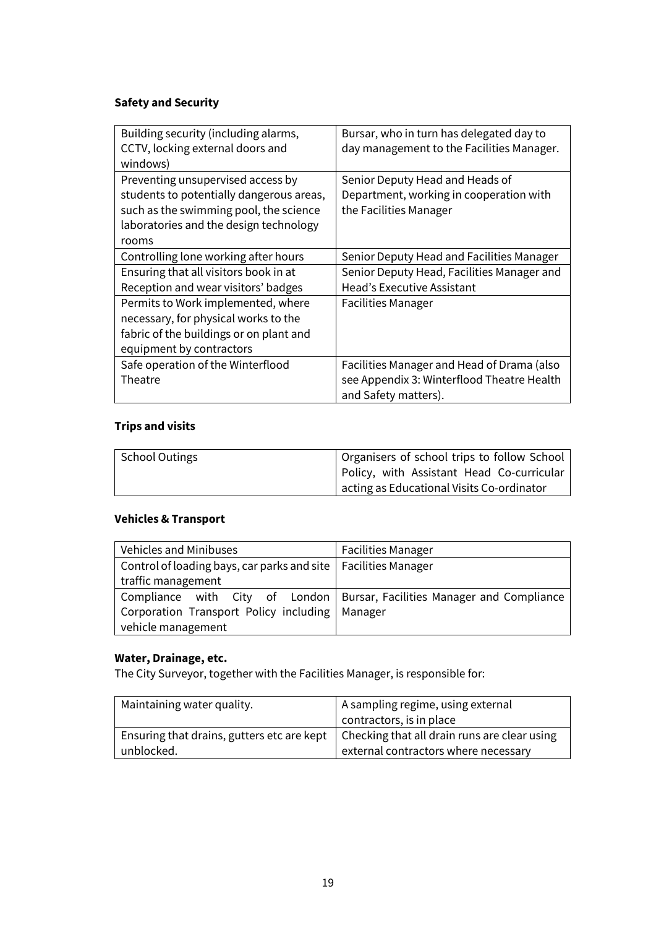#### **Safety and Security**

| Building security (including alarms,     | Bursar, who in turn has delegated day to   |
|------------------------------------------|--------------------------------------------|
| CCTV, locking external doors and         | day management to the Facilities Manager.  |
|                                          |                                            |
| windows)                                 |                                            |
| Preventing unsupervised access by        | Senior Deputy Head and Heads of            |
| students to potentially dangerous areas, | Department, working in cooperation with    |
| such as the swimming pool, the science   | the Facilities Manager                     |
| laboratories and the design technology   |                                            |
| rooms                                    |                                            |
| Controlling lone working after hours     | Senior Deputy Head and Facilities Manager  |
| Ensuring that all visitors book in at    | Senior Deputy Head, Facilities Manager and |
| Reception and wear visitors' badges      | <b>Head's Executive Assistant</b>          |
| Permits to Work implemented, where       | <b>Facilities Manager</b>                  |
| necessary, for physical works to the     |                                            |
| fabric of the buildings or on plant and  |                                            |
| equipment by contractors                 |                                            |
| Safe operation of the Winterflood        | Facilities Manager and Head of Drama (also |
| Theatre                                  | see Appendix 3: Winterflood Theatre Health |
|                                          | and Safety matters).                       |

#### **Trips and visits**

| School Outings | Organisers of school trips to follow School |
|----------------|---------------------------------------------|
|                | Policy, with Assistant Head Co-curricular   |
|                | acting as Educational Visits Co-ordinator   |

#### **Vehicles & Transport**

| <b>Vehicles and Minibuses</b>                                    | <b>Facilities Manager</b>                                                |
|------------------------------------------------------------------|--------------------------------------------------------------------------|
| Control of loading bays, car parks and site   Facilities Manager |                                                                          |
| traffic management                                               |                                                                          |
|                                                                  | Compliance with City of London Bursar, Facilities Manager and Compliance |
| Corporation Transport Policy including   Manager                 |                                                                          |
| vehicle management                                               |                                                                          |

#### **Water, Drainage, etc.**

The City Surveyor, together with the Facilities Manager, is responsible for:

| Maintaining water quality.                 | A sampling regime, using external            |
|--------------------------------------------|----------------------------------------------|
|                                            | contractors, is in place                     |
| Ensuring that drains, gutters etc are kept | Checking that all drain runs are clear using |
| unblocked.                                 | external contractors where necessary         |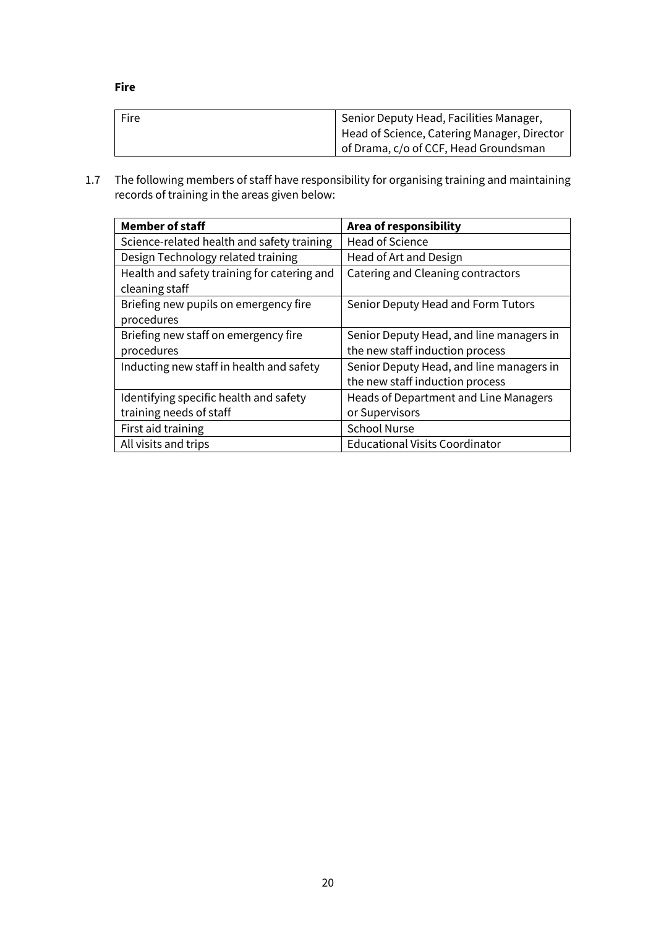**Fire**

| Fire | Senior Deputy Head, Facilities Manager,<br>Head of Science, Catering Manager, Director |
|------|----------------------------------------------------------------------------------------|
|      | of Drama, c/o of CCF, Head Groundsman                                                  |

1.7 The following members of staff have responsibility for organising training and maintaining records of training in the areas given below:

| <b>Member of staff</b>                      | Area of responsibility                   |
|---------------------------------------------|------------------------------------------|
| Science-related health and safety training  | Head of Science                          |
| Design Technology related training          | Head of Art and Design                   |
| Health and safety training for catering and | Catering and Cleaning contractors        |
| cleaning staff                              |                                          |
| Briefing new pupils on emergency fire       | Senior Deputy Head and Form Tutors       |
| procedures                                  |                                          |
| Briefing new staff on emergency fire        | Senior Deputy Head, and line managers in |
| procedures                                  | the new staff induction process          |
| Inducting new staff in health and safety    | Senior Deputy Head, and line managers in |
|                                             | the new staff induction process          |
| Identifying specific health and safety      | Heads of Department and Line Managers    |
| training needs of staff                     | or Supervisors                           |
| First aid training                          | <b>School Nurse</b>                      |
| All visits and trips                        | <b>Educational Visits Coordinator</b>    |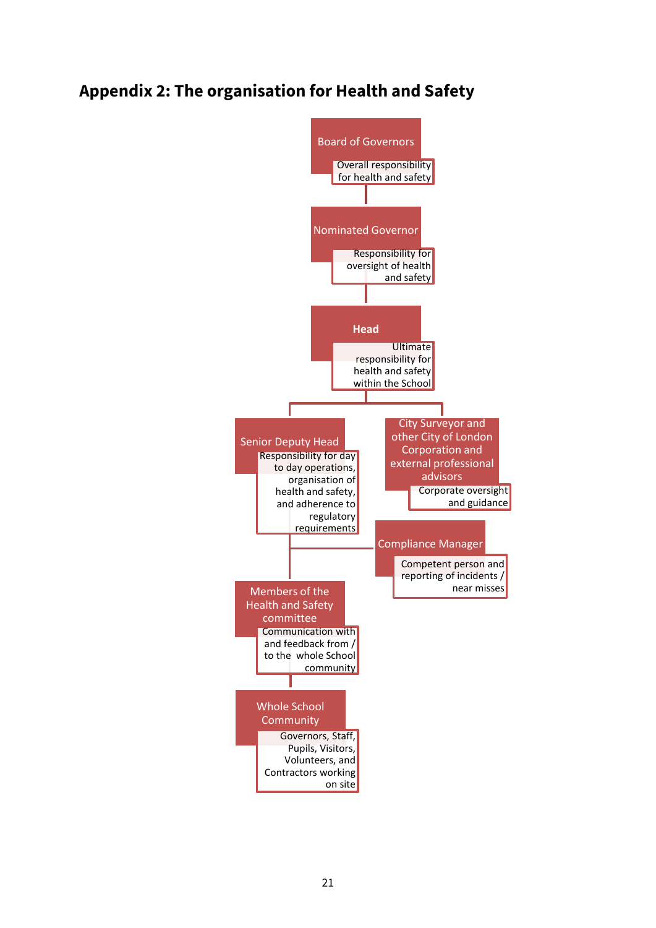### **Appendix 2: The organisation for Health and Safety**

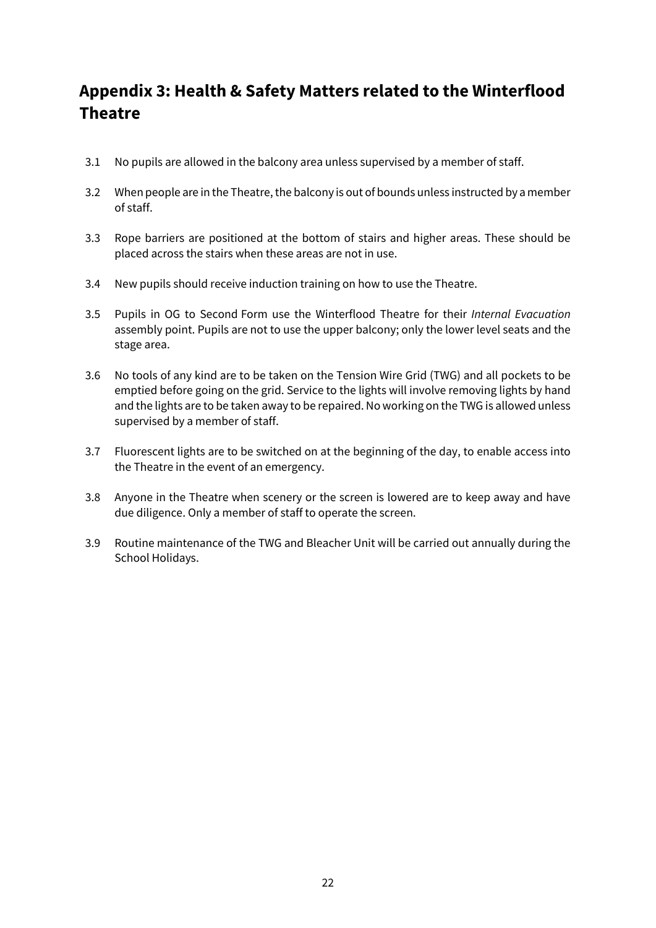# **Appendix 3: Health & Safety Matters related to the Winterflood Theatre**

- 3.1 No pupils are allowed in the balcony area unless supervised by a member of staff.
- 3.2 When people are in the Theatre, the balcony is out of bounds unless instructed by a member of staff.
- 3.3 Rope barriers are positioned at the bottom of stairs and higher areas. These should be placed across the stairs when these areas are not in use.
- 3.4 New pupils should receive induction training on how to use the Theatre.
- 3.5 Pupils in OG to Second Form use the Winterflood Theatre for their *Internal Evacuation* assembly point. Pupils are not to use the upper balcony; only the lower level seats and the stage area.
- 3.6 No tools of any kind are to be taken on the Tension Wire Grid (TWG) and all pockets to be emptied before going on the grid. Service to the lights will involve removing lights by hand and the lights are to be taken away to be repaired. No working on the TWG is allowed unless supervised by a member of staff.
- 3.7 Fluorescent lights are to be switched on at the beginning of the day, to enable access into the Theatre in the event of an emergency.
- 3.8 Anyone in the Theatre when scenery or the screen is lowered are to keep away and have due diligence. Only a member of staff to operate the screen.
- 3.9 Routine maintenance of the TWG and Bleacher Unit will be carried out annually during the School Holidays.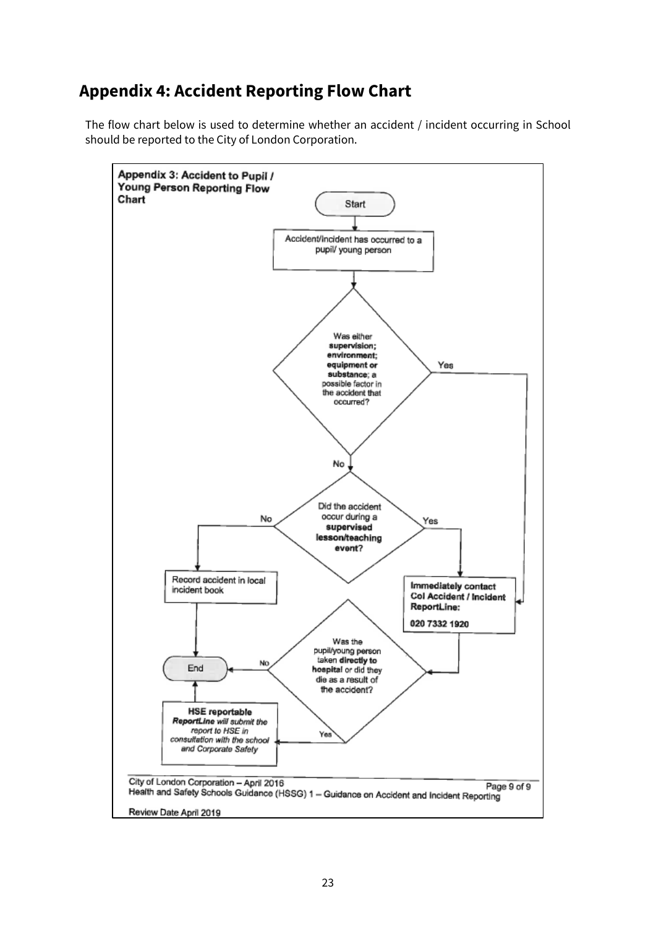## **Appendix 4: Accident Reporting Flow Chart**

The flow chart below is used to determine whether an accident / incident occurring in School should be reported to the City of London Corporation.

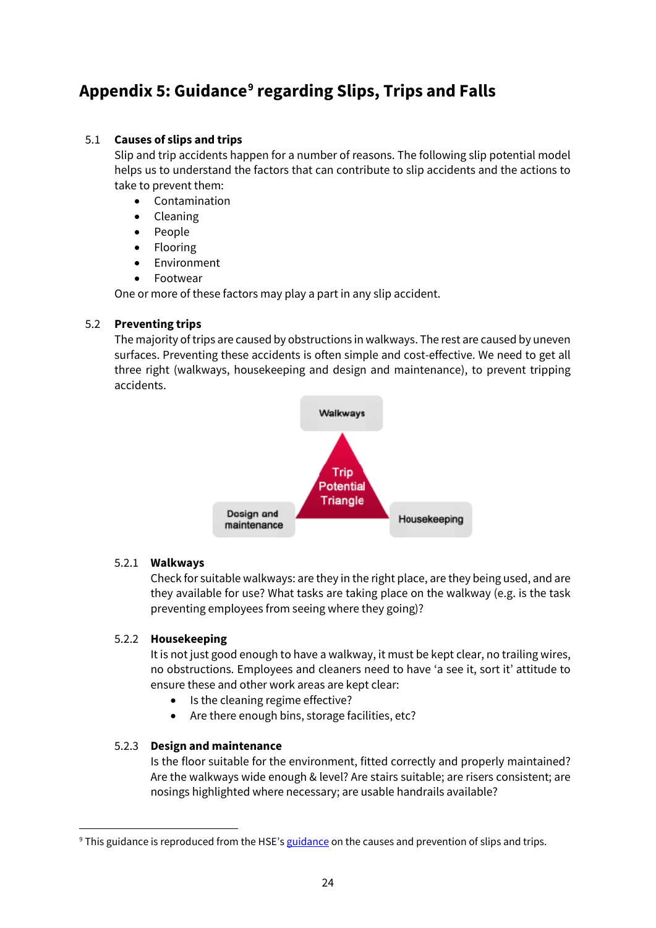# **Appendix 5: Guidance[9](#page-23-0) regarding Slips, Trips and Falls**

#### 5.1 **Causes of slips and trips**

Slip and trip accidents happen for a number of reasons. The following slip potential model helps us to understand the factors that can contribute to slip accidents and the actions to take to prevent them:

- [Contamination](http://www.hse.gov.uk/slips/cleancampaign.htm)
- [Cleaning](http://www.hse.gov.uk/slips/cleaning.htm)
- [People](http://www.hse.gov.uk/slips/human-factors.htm)
- [Flooring](http://www.hse.gov.uk/slips/flooring.htm)
- [Environment](http://www.hse.gov.uk/slips/environment.htm)
- **[Footwear](http://www.hse.gov.uk/slips/footprocure.htm)**

One or more of these factors may play a part in any slip accident.

#### 5.2 **Preventing trips**

The majority of trips are caused by obstructions in walkways. The rest are caused by uneven surfaces. Preventing these accidents is often simple and cost-effective. We need to get all three right (walkways, housekeeping and design and maintenance), to prevent tripping accidents.



#### 5.2.1 **Walkways**

Check for suitable walkways: are they in the right place, are they being used, and are they available for use? What tasks are taking place on the walkway (e.g. is the task preventing employees from seeing where they going)?

#### 5.2.2 **Housekeeping**

It is not just good enough to have a walkway, it must be kept clear, no trailing wires, no obstructions. Employees and cleaners need to have 'a see it, sort it' attitude to ensure these and other work areas are kept clear:

- Is the cleaning regime effective?
- Are there enough bins, storage facilities, etc?

#### 5.2.3 **Design and maintenance**

Is the floor suitable for the environment, fitted correctly and properly maintained? Are the walkways wide enough & level? Are stairs suitable; are risers consistent; are nosings highlighted where necessary; are usable handrails available?

<span id="page-23-0"></span><sup>&</sup>lt;sup>9</sup> Thi[s guidance](http://www.hse.gov.uk/slips/preventing.htm) is reproduced from the HSE's guidance on the causes and prevention of slips and trips.